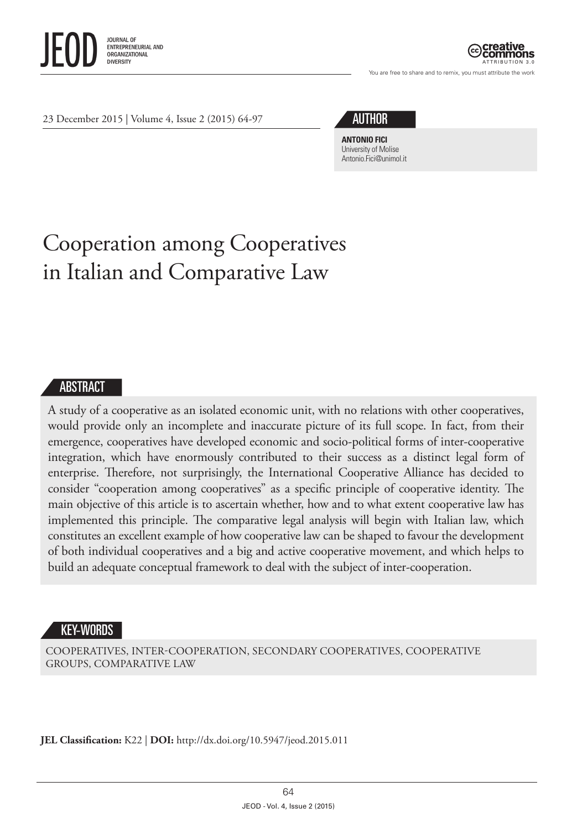

ATTRIBUTION 3.0

You are free to share and to remix, you must attribute the work

23 December 2015 | Volume 4, Issue 2 (2015) 64-97

# AUTHOR

**ANTONIO FICI** University of Molise [Antonio.Fici@unimol.it](mailto:Antonio.Fici@unimol.it)

# Cooperation among Cooperatives in Italian and Comparative Law

## **ABSTRACT**

A study of a cooperative as an isolated economic unit, with no relations with other cooperatives, would provide only an incomplete and inaccurate picture of its full scope. In fact, from their emergence, cooperatives have developed economic and socio-political forms of inter-cooperative integration, which have enormously contributed to their success as a distinct legal form of enterprise. Therefore, not surprisingly, the International Cooperative Alliance has decided to consider "cooperation among cooperatives" as a specific principle of cooperative identity. The main objective of this article is to ascertain whether, how and to what extent cooperative law has implemented this principle. The comparative legal analysis will begin with Italian law, which constitutes an excellent example of how cooperative law can be shaped to favour the development of both individual cooperatives and a big and active cooperative movement, and which helps to build an adequate conceptual framework to deal with the subject of inter-cooperation.

#### KEY-WORDS

COOPERATIVES, INTER-COOPERATION, SECONDARY COOPERATIVES, COOPERATIVE GROUPS, COMPARATIVE LAW

**JEL Classification:** K22 | **DOI:**<http://dx.doi.org/10.5947/jeod.2015.011>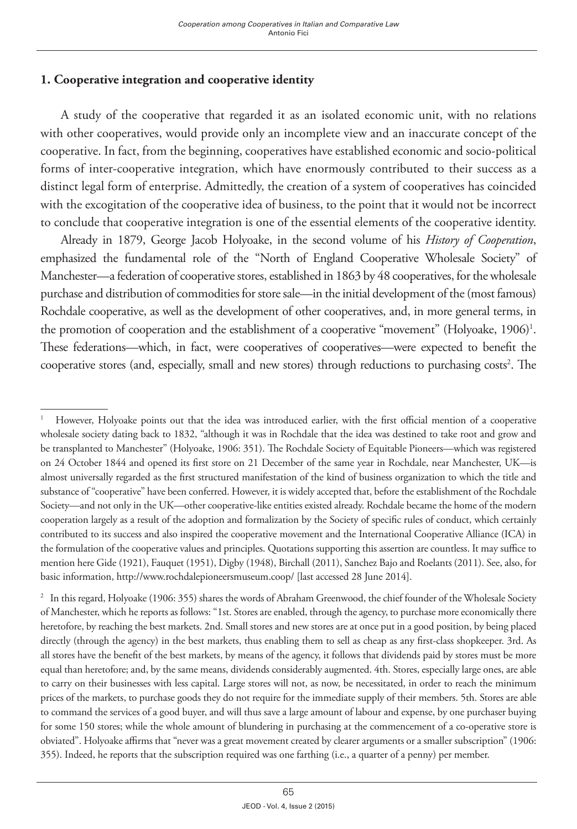## **1. Cooperative integration and cooperative identity**

A study of the cooperative that regarded it as an isolated economic unit, with no relations with other cooperatives, would provide only an incomplete view and an inaccurate concept of the cooperative. In fact, from the beginning, cooperatives have established economic and socio-political forms of inter-cooperative integration, which have enormously contributed to their success as a distinct legal form of enterprise. Admittedly, the creation of a system of cooperatives has coincided with the excogitation of the cooperative idea of business, to the point that it would not be incorrect to conclude that cooperative integration is one of the essential elements of the cooperative identity.

Already in 1879, George Jacob Holyoake, in the second volume of his *History of Cooperation*, emphasized the fundamental role of the "North of England Cooperative Wholesale Society" of Manchester—a federation of cooperative stores, established in 1863 by 48 cooperatives, for the wholesale purchase and distribution of commodities for store sale—in the initial development of the (most famous) Rochdale cooperative, as well as the development of other cooperatives, and, in more general terms, in the promotion of cooperation and the establishment of a cooperative "movement" (Holyoake, 1906)<sup>1</sup>. These federations—which, in fact, were cooperatives of cooperatives—were expected to benefit the cooperative stores (and, especially, small and new stores) through reductions to purchasing costs<sup>2</sup>. The

<sup>1</sup> However, Holyoake points out that the idea was introduced earlier, with the first official mention of a cooperative wholesale society dating back to 1832, "although it was in Rochdale that the idea was destined to take root and grow and be transplanted to Manchester" (Holyoake, 1906: 351). The Rochdale Society of Equitable Pioneers—which was registered on 24 October 1844 and opened its first store on 21 December of the same year in Rochdale, near Manchester, UK—is almost universally regarded as the first structured manifestation of the kind of business organization to which the title and substance of "cooperative" have been conferred. However, it is widely accepted that, before the establishment of the Rochdale Society—and not only in the UK—other cooperative-like entities existed already. Rochdale became the home of the modern cooperation largely as a result of the adoption and formalization by the Society of specific rules of conduct, which certainly contributed to its success and also inspired the cooperative movement and the International Cooperative Alliance (ICA) in the formulation of the cooperative values and principles. Quotations supporting this assertion are countless. It may suffice to mention here Gide (1921), Fauquet (1951), Digby (1948), Birchall (2011), Sanchez Bajo and Roelants (2011). See, also, for basic information, http://www.rochdalepioneersmuseum.coop/ [last accessed 28 June 2014].

<sup>2</sup> In this regard, Holyoake (1906: 355) shares the words of Abraham Greenwood, the chief founder of the Wholesale Society of Manchester, which he reports as follows: "1st. Stores are enabled, through the agency, to purchase more economically there heretofore, by reaching the best markets. 2nd. Small stores and new stores are at once put in a good position, by being placed directly (through the agency) in the best markets, thus enabling them to sell as cheap as any first-class shopkeeper. 3rd. As all stores have the benefit of the best markets, by means of the agency, it follows that dividends paid by stores must be more equal than heretofore; and, by the same means, dividends considerably augmented. 4th. Stores, especially large ones, are able to carry on their businesses with less capital. Large stores will not, as now, be necessitated, in order to reach the minimum prices of the markets, to purchase goods they do not require for the immediate supply of their members. 5th. Stores are able to command the services of a good buyer, and will thus save a large amount of labour and expense, by one purchaser buying for some 150 stores; while the whole amount of blundering in purchasing at the commencement of a co-operative store is obviated". Holyoake affirms that "never was a great movement created by clearer arguments or a smaller subscription" (1906: 355). Indeed, he reports that the subscription required was one farthing (i.e., a quarter of a penny) per member.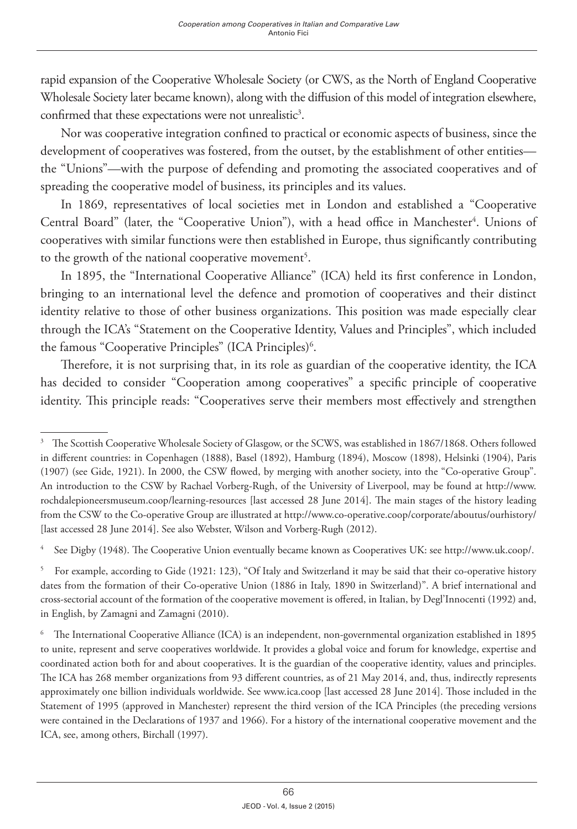rapid expansion of the Cooperative Wholesale Society (or CWS, as the North of England Cooperative Wholesale Society later became known), along with the diffusion of this model of integration elsewhere, confirmed that these expectations were not unrealistic<sup>3</sup>.

Nor was cooperative integration confined to practical or economic aspects of business, since the development of cooperatives was fostered, from the outset, by the establishment of other entities the "Unions"—with the purpose of defending and promoting the associated cooperatives and of spreading the cooperative model of business, its principles and its values.

In 1869, representatives of local societies met in London and established a "Cooperative Central Board" (later, the "Cooperative Union"), with a head office in Manchester<sup>4</sup>. Unions of cooperatives with similar functions were then established in Europe, thus significantly contributing to the growth of the national cooperative movement<sup>5</sup>.

In 1895, the "International Cooperative Alliance" (ICA) held its first conference in London, bringing to an international level the defence and promotion of cooperatives and their distinct identity relative to those of other business organizations. This position was made especially clear through the ICA's "Statement on the Cooperative Identity, Values and Principles", which included the famous "Cooperative Principles" (ICA Principles)<sup>6</sup>.

Therefore, it is not surprising that, in its role as guardian of the cooperative identity, the ICA has decided to consider "Cooperation among cooperatives" a specific principle of cooperative identity. This principle reads: "Cooperatives serve their members most effectively and strengthen

4 See Digby (1948). The Cooperative Union eventually became known as Cooperatives UK: see http://www.uk.coop/.

5 For example, according to Gide (1921: 123), "Of Italy and Switzerland it may be said that their co-operative history dates from the formation of their Co-operative Union (1886 in Italy, 1890 in Switzerland)". A brief international and cross-sectorial account of the formation of the cooperative movement is offered, in Italian, by Degl'Innocenti (1992) and, in English, by Zamagni and Zamagni (2010).

6 The International Cooperative Alliance (ICA) is an independent, non-governmental organization established in 1895 to unite, represent and serve cooperatives worldwide. It provides a global voice and forum for knowledge, expertise and coordinated action both for and about cooperatives. It is the guardian of the cooperative identity, values and principles. The ICA has 268 member organizations from 93 different countries, as of 21 May 2014, and, thus, indirectly represents approximately one billion individuals worldwide. See [www.ica.coop](http://www.ica.coop) [last accessed 28 June 2014]. Those included in the Statement of 1995 (approved in Manchester) represent the third version of the ICA Principles (the preceding versions were contained in the Declarations of 1937 and 1966). For a history of the international cooperative movement and the ICA, see, among others, Birchall (1997).

<sup>3</sup> The Scottish Cooperative Wholesale Society of Glasgow, or the SCWS, was established in 1867/1868. Others followed in different countries: in Copenhagen (1888), Basel (1892), Hamburg (1894), Moscow (1898), Helsinki (1904), Paris (1907) (see Gide, 1921). In 2000, the CSW flowed, by merging with another society, into the "Co-operative Group". An introduction to the CSW by Rachael Vorberg-Rugh, of the University of Liverpool, may be found at http://www. rochdalepioneersmuseum.coop/learning-resources [last accessed 28 June 2014]. The main stages of the history leading from the CSW to the Co-operative Group are illustrated at http://www.co-operative.coop/corporate/aboutus/ourhistory/ [last accessed 28 June 2014]. See also Webster, Wilson and Vorberg-Rugh (2012).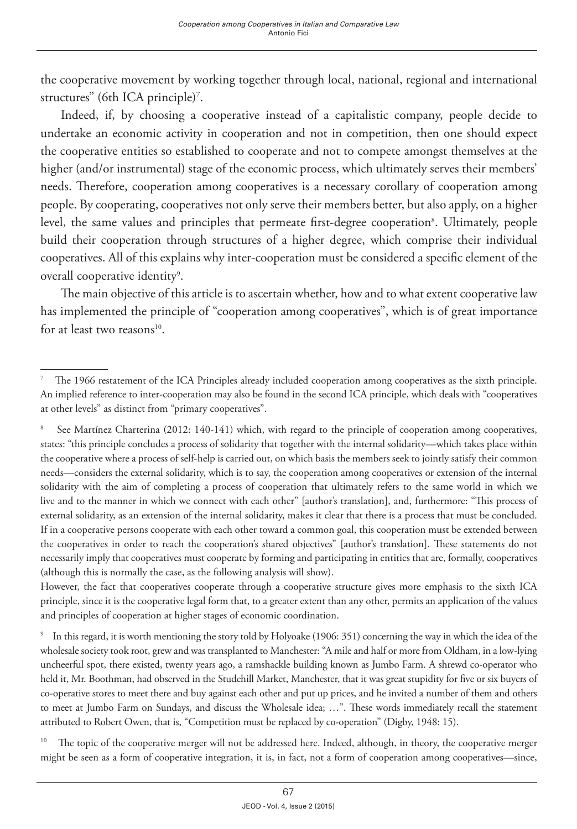the cooperative movement by working together through local, national, regional and international structures" (6th ICA principle)<sup>7</sup>.

Indeed, if, by choosing a cooperative instead of a capitalistic company, people decide to undertake an economic activity in cooperation and not in competition, then one should expect the cooperative entities so established to cooperate and not to compete amongst themselves at the higher (and/or instrumental) stage of the economic process, which ultimately serves their members' needs. Therefore, cooperation among cooperatives is a necessary corollary of cooperation among people. By cooperating, cooperatives not only serve their members better, but also apply, on a higher level, the same values and principles that permeate first-degree cooperation<sup>s</sup>. Ultimately, people build their cooperation through structures of a higher degree, which comprise their individual cooperatives. All of this explains why inter-cooperation must be considered a specific element of the overall cooperative identity<sup>9</sup>.

The main objective of this article is to ascertain whether, how and to what extent cooperative law has implemented the principle of "cooperation among cooperatives", which is of great importance for at least two reasons $10$ .

However, the fact that cooperatives cooperate through a cooperative structure gives more emphasis to the sixth ICA principle, since it is the cooperative legal form that, to a greater extent than any other, permits an application of the values and principles of cooperation at higher stages of economic coordination.

9 In this regard, it is worth mentioning the story told by Holyoake (1906: 351) concerning the way in which the idea of the wholesale society took root, grew and was transplanted to Manchester: "A mile and half or more from Oldham, in a low-lying uncheerful spot, there existed, twenty years ago, a ramshackle building known as Jumbo Farm. A shrewd co-operator who held it, Mr. Boothman, had observed in the Studehill Market, Manchester, that it was great stupidity for five or six buyers of co-operative stores to meet there and buy against each other and put up prices, and he invited a number of them and others to meet at Jumbo Farm on Sundays, and discuss the Wholesale idea; …". These words immediately recall the statement attributed to Robert Owen, that is, "Competition must be replaced by co-operation" (Digby, 1948: 15).

<sup>10</sup> The topic of the cooperative merger will not be addressed here. Indeed, although, in theory, the cooperative merger might be seen as a form of cooperative integration, it is, in fact, not a form of cooperation among cooperatives—since,

<sup>7</sup> The 1966 restatement of the ICA Principles already included cooperation among cooperatives as the sixth principle. An implied reference to inter-cooperation may also be found in the second ICA principle, which deals with "cooperatives at other levels" as distinct from "primary cooperatives".

<sup>8</sup> See Martínez Charterina (2012: 140-141) which, with regard to the principle of cooperation among cooperatives, states: "this principle concludes a process of solidarity that together with the internal solidarity—which takes place within the cooperative where a process of self-help is carried out, on which basis the members seek to jointly satisfy their common needs—considers the external solidarity, which is to say, the cooperation among cooperatives or extension of the internal solidarity with the aim of completing a process of cooperation that ultimately refers to the same world in which we live and to the manner in which we connect with each other" [author's translation], and, furthermore: "This process of external solidarity, as an extension of the internal solidarity, makes it clear that there is a process that must be concluded. If in a cooperative persons cooperate with each other toward a common goal, this cooperation must be extended between the cooperatives in order to reach the cooperation's shared objectives" [author's translation]. These statements do not necessarily imply that cooperatives must cooperate by forming and participating in entities that are, formally, cooperatives (although this is normally the case, as the following analysis will show).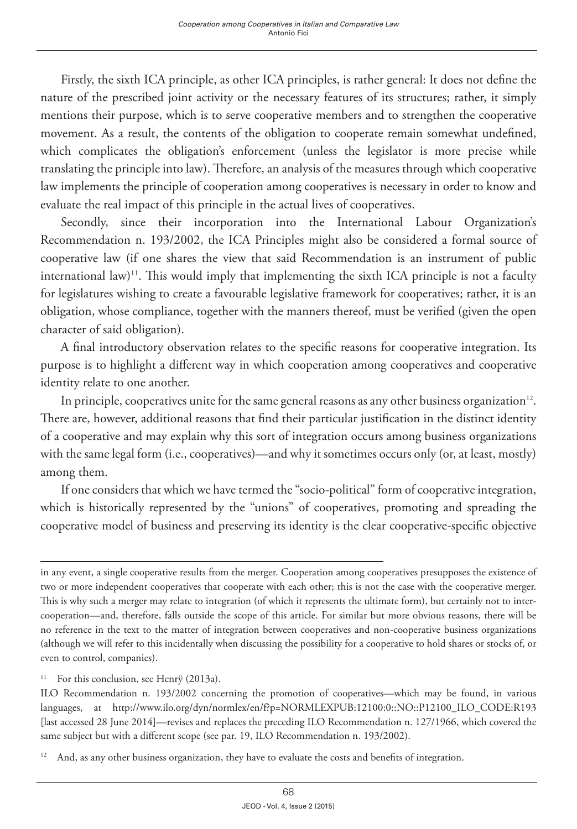Firstly, the sixth ICA principle, as other ICA principles, is rather general: It does not define the nature of the prescribed joint activity or the necessary features of its structures; rather, it simply mentions their purpose, which is to serve cooperative members and to strengthen the cooperative movement. As a result, the contents of the obligation to cooperate remain somewhat undefined, which complicates the obligation's enforcement (unless the legislator is more precise while translating the principle into law). Therefore, an analysis of the measures through which cooperative law implements the principle of cooperation among cooperatives is necessary in order to know and evaluate the real impact of this principle in the actual lives of cooperatives.

Secondly, since their incorporation into the International Labour Organization's Recommendation n. 193/2002, the ICA Principles might also be considered a formal source of cooperative law (if one shares the view that said Recommendation is an instrument of public international law)<sup>11</sup>. This would imply that implementing the sixth ICA principle is not a faculty for legislatures wishing to create a favourable legislative framework for cooperatives; rather, it is an obligation, whose compliance, together with the manners thereof, must be verified (given the open character of said obligation).

A final introductory observation relates to the specific reasons for cooperative integration. Its purpose is to highlight a different way in which cooperation among cooperatives and cooperative identity relate to one another.

In principle, cooperatives unite for the same general reasons as any other business organization<sup>12</sup>. There are, however, additional reasons that find their particular justification in the distinct identity of a cooperative and may explain why this sort of integration occurs among business organizations with the same legal form (i.e., cooperatives)—and why it sometimes occurs only (or, at least, mostly) among them.

If one considers that which we have termed the "socio-political" form of cooperative integration, which is historically represented by the "unions" of cooperatives, promoting and spreading the cooperative model of business and preserving its identity is the clear cooperative-specific objective

in any event, a single cooperative results from the merger. Cooperation among cooperatives presupposes the existence of two or more independent cooperatives that cooperate with each other; this is not the case with the cooperative merger. This is why such a merger may relate to integration (of which it represents the ultimate form), but certainly not to intercooperation—and, therefore, falls outside the scope of this article. For similar but more obvious reasons, there will be no reference in the text to the matter of integration between cooperatives and non-cooperative business organizations (although we will refer to this incidentally when discussing the possibility for a cooperative to hold shares or stocks of, or even to control, companies).

<sup>&</sup>lt;sup>11</sup> For this conclusion, see Henrÿ (2013a).

ILO Recommendation n. 193/2002 concerning the promotion of cooperatives—which may be found, in various languages, at http://www.ilo.org/dyn/normlex/en/f?p=NORMLEXPUB:12100:0::NO::P12100\_ILO\_CODE:R193 [last accessed 28 June 2014]—revises and replaces the preceding ILO Recommendation n. 127/1966, which covered the same subject but with a different scope (see par. 19, ILO Recommendation n. 193/2002).

<sup>&</sup>lt;sup>12</sup> And, as any other business organization, they have to evaluate the costs and benefits of integration.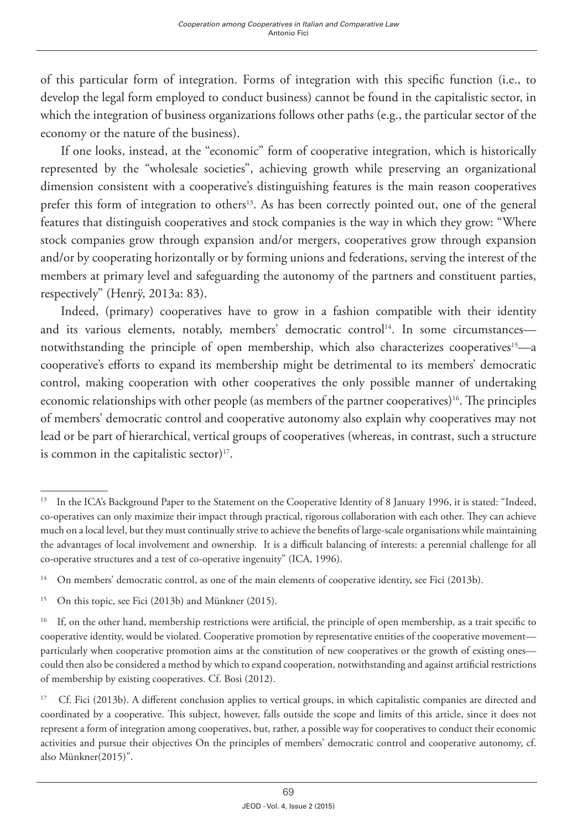of this particular form of integration. Forms of integration with this specific function (i.e., to develop the legal form employed to conduct business) cannot be found in the capitalistic sector, in which the integration of business organizations follows other paths (e.g., the particular sector of the economy or the nature of the business).

If one looks, instead, at the "economic" form of cooperative integration, which is historically represented by the "wholesale societies", achieving growth while preserving an organizational dimension consistent with a cooperative's distinguishing features is the main reason cooperatives prefer this form of integration to others<sup>13</sup>. As has been correctly pointed out, one of the general features that distinguish cooperatives and stock companies is the way in which they grow: "Where stock companies grow through expansion and/or mergers, cooperatives grow through expansion and/or by cooperating horizontally or by forming unions and federations, serving the interest of the members at primary level and safeguarding the autonomy of the partners and constituent parties, respectively" (Henrÿ, 2013a: 83).

Indeed, (primary) cooperatives have to grow in a fashion compatible with their identity and its various elements, notably, members' democratic control<sup>14</sup>. In some circumstances notwithstanding the principle of open membership, which also characterizes cooperatives<sup>15</sup>—a cooperative's efforts to expand its membership might be detrimental to its members' democratic control, making cooperation with other cooperatives the only possible manner of undertaking economic relationships with other people (as members of the partner cooperatives)<sup>16</sup>. The principles of members' democratic control and cooperative autonomy also explain why cooperatives may not lead or be part of hierarchical, vertical groups of cooperatives (whereas, in contrast, such a structure is common in the capitalistic sector) $17$ .

<sup>&</sup>lt;sup>13</sup> In the ICA's Background Paper to the Statement on the Cooperative Identity of 8 January 1996, it is stated: "Indeed, co-operatives can only maximize their impact through practical, rigorous collaboration with each other. They can achieve much on a local level, but they must continually strive to achieve the benefits of large-scale organisations while maintaining the advantages of local involvement and ownership. It is a difficult balancing of interests: a perennial challenge for all co-operative structures and a test of co-operative ingenuity" (ICA, 1996).

<sup>&</sup>lt;sup>14</sup> On members' democratic control, as one of the main elements of cooperative identity, see Fici (2013b).

<sup>15</sup> On this topic, see Fici (2013b) and Münkner (2015).

<sup>&</sup>lt;sup>16</sup> If, on the other hand, membership restrictions were artificial, the principle of open membership, as a trait specific to cooperative identity, would be violated. Cooperative promotion by representative entities of the cooperative movement particularly when cooperative promotion aims at the constitution of new cooperatives or the growth of existing ones could then also be considered a method by which to expand cooperation, notwithstanding and against artificial restrictions of membership by existing cooperatives. Cf. Bosi (2012).

<sup>&</sup>lt;sup>17</sup> Cf. Fici (2013b). A different conclusion applies to vertical groups, in which capitalistic companies are directed and coordinated by a cooperative. This subject, however, falls outside the scope and limits of this article, since it does not represent a form of integration among cooperatives, but, rather, a possible way for cooperatives to conduct their economic activities and pursue their objectives On the principles of members' democratic control and cooperative autonomy, cf. also Münkner(2015)".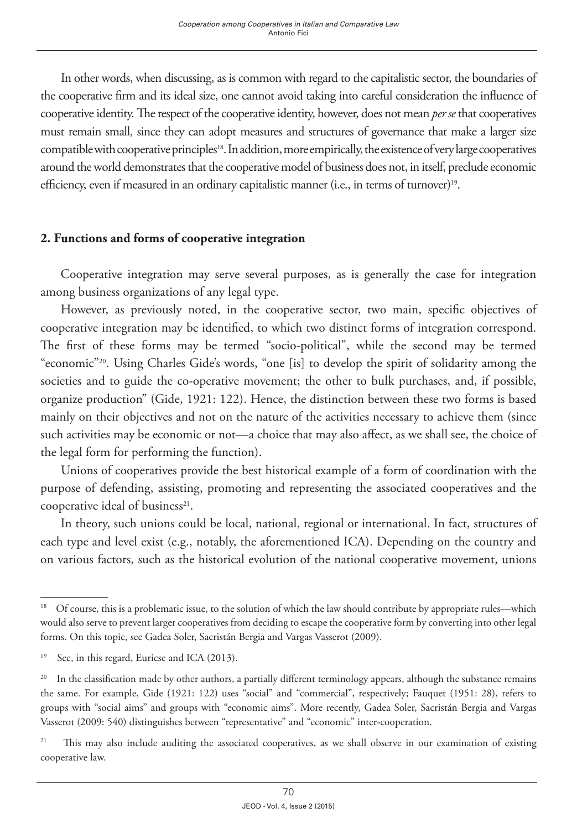In other words, when discussing, as is common with regard to the capitalistic sector, the boundaries of the cooperative firm and its ideal size, one cannot avoid taking into careful consideration the influence of cooperative identity. The respect of the cooperative identity, however, does not mean *per se* that cooperatives must remain small, since they can adopt measures and structures of governance that make a larger size compatible with cooperative principles<sup>18</sup>. In addition, more empirically, the existence of very large cooperatives around the world demonstrates that the cooperative model of business does not, in itself, preclude economic efficiency, even if measured in an ordinary capitalistic manner (i.e., in terms of turnover)<sup>19</sup>.

## **2. Functions and forms of cooperative integration**

Cooperative integration may serve several purposes, as is generally the case for integration among business organizations of any legal type.

However, as previously noted, in the cooperative sector, two main, specific objectives of cooperative integration may be identified, to which two distinct forms of integration correspond. The first of these forms may be termed "socio-political", while the second may be termed "economic"20. Using Charles Gide's words, "one [is] to develop the spirit of solidarity among the societies and to guide the co-operative movement; the other to bulk purchases, and, if possible, organize production" (Gide, 1921: 122). Hence, the distinction between these two forms is based mainly on their objectives and not on the nature of the activities necessary to achieve them (since such activities may be economic or not—a choice that may also affect, as we shall see, the choice of the legal form for performing the function).

Unions of cooperatives provide the best historical example of a form of coordination with the purpose of defending, assisting, promoting and representing the associated cooperatives and the cooperative ideal of business<sup>21</sup>.

In theory, such unions could be local, national, regional or international. In fact, structures of each type and level exist (e.g., notably, the aforementioned ICA). Depending on the country and on various factors, such as the historical evolution of the national cooperative movement, unions

<sup>&</sup>lt;sup>18</sup> Of course, this is a problematic issue, to the solution of which the law should contribute by appropriate rules—which would also serve to prevent larger cooperatives from deciding to escape the cooperative form by converting into other legal forms. On this topic, see Gadea Soler, Sacristán Bergia and Vargas Vasserot (2009).

<sup>&</sup>lt;sup>19</sup> See, in this regard, Euricse and ICA (2013).

<sup>&</sup>lt;sup>20</sup> In the classification made by other authors, a partially different terminology appears, although the substance remains the same. For example, Gide (1921: 122) uses "social" and "commercial", respectively; Fauquet (1951: 28), refers to groups with "social aims" and groups with "economic aims". More recently, Gadea Soler, Sacristán Bergia and Vargas Vasserot (2009: 540) distinguishes between "representative" and "economic" inter-cooperation.

<sup>&</sup>lt;sup>21</sup> This may also include auditing the associated cooperatives, as we shall observe in our examination of existing cooperative law.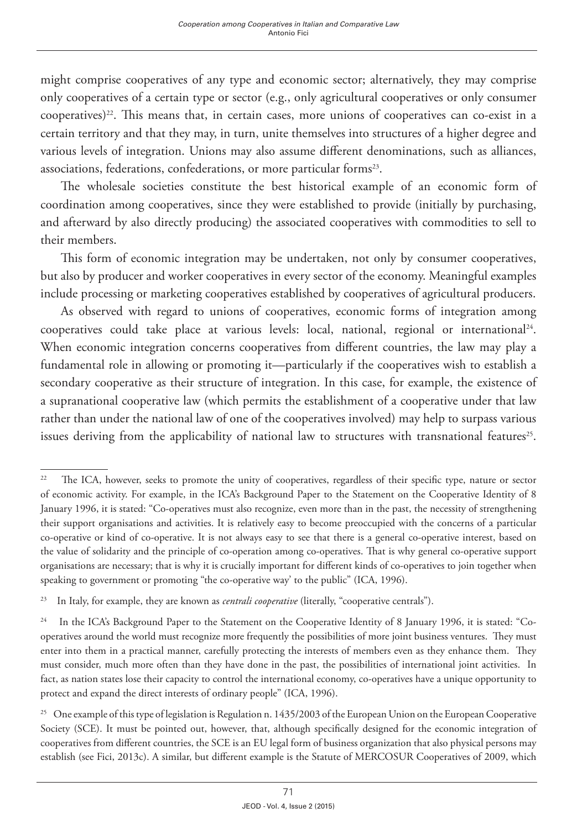might comprise cooperatives of any type and economic sector; alternatively, they may comprise only cooperatives of a certain type or sector (e.g., only agricultural cooperatives or only consumer cooperatives)<sup>22</sup>. This means that, in certain cases, more unions of cooperatives can co-exist in a certain territory and that they may, in turn, unite themselves into structures of a higher degree and various levels of integration. Unions may also assume different denominations, such as alliances, associations, federations, confederations, or more particular forms<sup>23</sup>.

The wholesale societies constitute the best historical example of an economic form of coordination among cooperatives, since they were established to provide (initially by purchasing, and afterward by also directly producing) the associated cooperatives with commodities to sell to their members.

This form of economic integration may be undertaken, not only by consumer cooperatives, but also by producer and worker cooperatives in every sector of the economy. Meaningful examples include processing or marketing cooperatives established by cooperatives of agricultural producers.

As observed with regard to unions of cooperatives, economic forms of integration among cooperatives could take place at various levels: local, national, regional or international24. When economic integration concerns cooperatives from different countries, the law may play a fundamental role in allowing or promoting it—particularly if the cooperatives wish to establish a secondary cooperative as their structure of integration. In this case, for example, the existence of a supranational cooperative law (which permits the establishment of a cooperative under that law rather than under the national law of one of the cooperatives involved) may help to surpass various issues deriving from the applicability of national law to structures with transnational features<sup>25</sup>.

<sup>&</sup>lt;sup>22</sup> The ICA, however, seeks to promote the unity of cooperatives, regardless of their specific type, nature or sector of economic activity. For example, in the ICA's Background Paper to the Statement on the Cooperative Identity of 8 January 1996, it is stated: "Co-operatives must also recognize, even more than in the past, the necessity of strengthening their support organisations and activities. It is relatively easy to become preoccupied with the concerns of a particular co-operative or kind of co-operative. It is not always easy to see that there is a general co-operative interest, based on the value of solidarity and the principle of co-operation among co-operatives. That is why general co-operative support organisations are necessary; that is why it is crucially important for different kinds of co-operatives to join together when speaking to government or promoting "the co-operative way' to the public" (ICA, 1996).

<sup>&</sup>lt;sup>23</sup> In Italy, for example, they are known as *centrali cooperative* (literally, "cooperative centrals").

<sup>&</sup>lt;sup>24</sup> In the ICA's Background Paper to the Statement on the Cooperative Identity of 8 January 1996, it is stated: "Cooperatives around the world must recognize more frequently the possibilities of more joint business ventures. They must enter into them in a practical manner, carefully protecting the interests of members even as they enhance them. They must consider, much more often than they have done in the past, the possibilities of international joint activities. In fact, as nation states lose their capacity to control the international economy, co-operatives have a unique opportunity to protect and expand the direct interests of ordinary people" (ICA, 1996).

<sup>&</sup>lt;sup>25</sup> One example of this type of legislation is Regulation n. 1435/2003 of the European Union on the European Cooperative Society (SCE). It must be pointed out, however, that, although specifically designed for the economic integration of cooperatives from different countries, the SCE is an EU legal form of business organization that also physical persons may establish (see Fici, 2013c). A similar, but different example is the Statute of MERCOSUR Cooperatives of 2009, which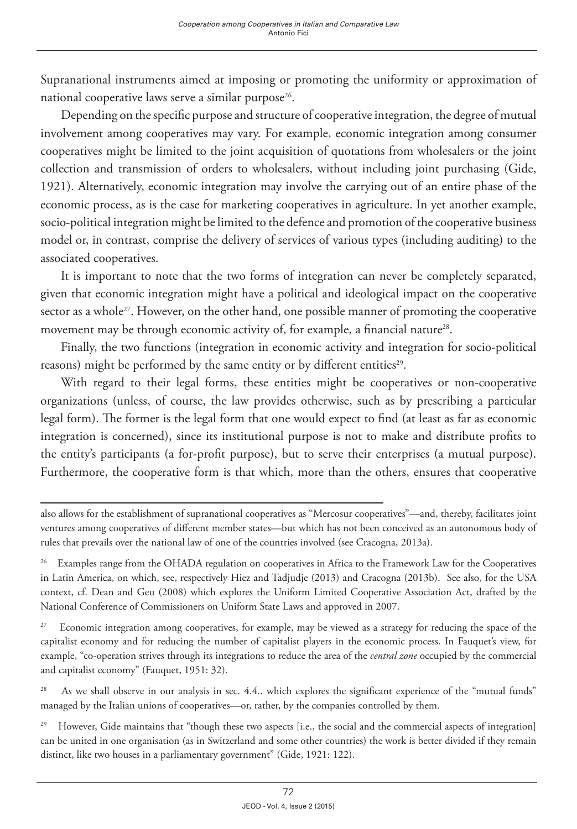Supranational instruments aimed at imposing or promoting the uniformity or approximation of national cooperative laws serve a similar purpose<sup>26</sup>.

Depending on the specific purpose and structure of cooperative integration, the degree of mutual involvement among cooperatives may vary. For example, economic integration among consumer cooperatives might be limited to the joint acquisition of quotations from wholesalers or the joint collection and transmission of orders to wholesalers, without including joint purchasing (Gide, 1921). Alternatively, economic integration may involve the carrying out of an entire phase of the economic process, as is the case for marketing cooperatives in agriculture. In yet another example, socio-political integration might be limited to the defence and promotion of the cooperative business model or, in contrast, comprise the delivery of services of various types (including auditing) to the associated cooperatives.

It is important to note that the two forms of integration can never be completely separated, given that economic integration might have a political and ideological impact on the cooperative sector as a whole<sup>27</sup>. However, on the other hand, one possible manner of promoting the cooperative movement may be through economic activity of, for example, a financial nature<sup>28</sup>.

Finally, the two functions (integration in economic activity and integration for socio-political reasons) might be performed by the same entity or by different entities<sup>29</sup>.

With regard to their legal forms, these entities might be cooperatives or non-cooperative organizations (unless, of course, the law provides otherwise, such as by prescribing a particular legal form). The former is the legal form that one would expect to find (at least as far as economic integration is concerned), since its institutional purpose is not to make and distribute profits to the entity's participants (a for-profit purpose), but to serve their enterprises (a mutual purpose). Furthermore, the cooperative form is that which, more than the others, ensures that cooperative

<sup>27</sup> Economic integration among cooperatives, for example, may be viewed as a strategy for reducing the space of the capitalist economy and for reducing the number of capitalist players in the economic process. In Fauquet's view, for example, "co-operation strives through its integrations to reduce the area of the *central zone* occupied by the commercial and capitalist economy" (Fauquet, 1951: 32).

<sup>28</sup> As we shall observe in our analysis in sec. 4.4., which explores the significant experience of the "mutual funds" managed by the Italian unions of cooperatives—or, rather, by the companies controlled by them.

<sup>29</sup> However, Gide maintains that "though these two aspects [i.e., the social and the commercial aspects of integration] can be united in one organisation (as in Switzerland and some other countries) the work is better divided if they remain distinct, like two houses in a parliamentary government" (Gide, 1921: 122).

also allows for the establishment of supranational cooperatives as "Mercosur cooperatives"—and, thereby, facilitates joint ventures among cooperatives of different member states—but which has not been conceived as an autonomous body of rules that prevails over the national law of one of the countries involved (see Cracogna, 2013a).

<sup>&</sup>lt;sup>26</sup> Examples range from the OHADA regulation on cooperatives in Africa to the Framework Law for the Cooperatives in Latin America, on which, see, respectively Hiez and Tadjudje (2013) and Cracogna (2013b). See also, for the USA context, cf. Dean and Geu (2008) which explores the Uniform Limited Cooperative Association Act, drafted by the National Conference of Commissioners on Uniform State Laws and approved in 2007.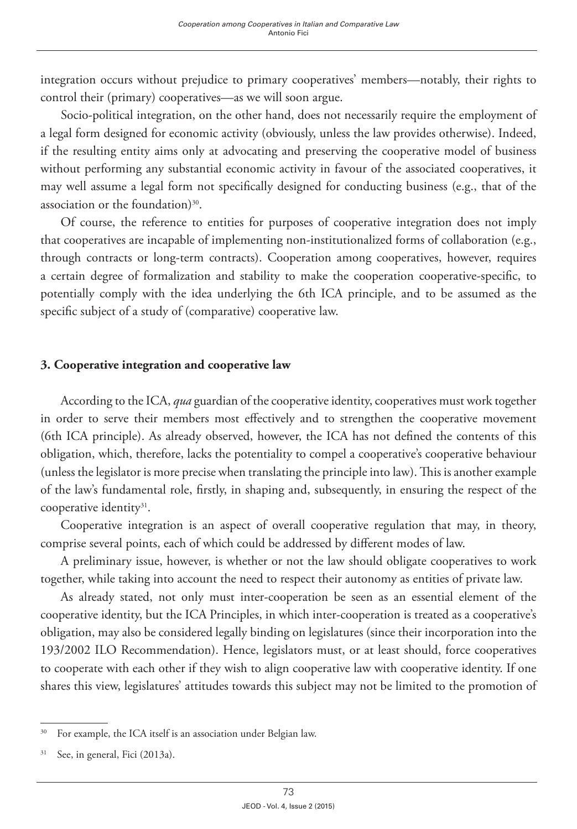integration occurs without prejudice to primary cooperatives' members—notably, their rights to control their (primary) cooperatives—as we will soon argue.

Socio-political integration, on the other hand, does not necessarily require the employment of a legal form designed for economic activity (obviously, unless the law provides otherwise). Indeed, if the resulting entity aims only at advocating and preserving the cooperative model of business without performing any substantial economic activity in favour of the associated cooperatives, it may well assume a legal form not specifically designed for conducting business (e.g., that of the association or the foundation)<sup>30</sup>.

Of course, the reference to entities for purposes of cooperative integration does not imply that cooperatives are incapable of implementing non-institutionalized forms of collaboration (e.g., through contracts or long-term contracts). Cooperation among cooperatives, however, requires a certain degree of formalization and stability to make the cooperation cooperative-specific, to potentially comply with the idea underlying the 6th ICA principle, and to be assumed as the specific subject of a study of (comparative) cooperative law.

#### **3. Cooperative integration and cooperative law**

According to the ICA, *qua* guardian of the cooperative identity, cooperatives must work together in order to serve their members most effectively and to strengthen the cooperative movement (6th ICA principle). As already observed, however, the ICA has not defined the contents of this obligation, which, therefore, lacks the potentiality to compel a cooperative's cooperative behaviour (unless the legislator is more precise when translating the principle into law). This is another example of the law's fundamental role, firstly, in shaping and, subsequently, in ensuring the respect of the cooperative identity<sup>31</sup>.

Cooperative integration is an aspect of overall cooperative regulation that may, in theory, comprise several points, each of which could be addressed by different modes of law.

A preliminary issue, however, is whether or not the law should obligate cooperatives to work together, while taking into account the need to respect their autonomy as entities of private law.

As already stated, not only must inter-cooperation be seen as an essential element of the cooperative identity, but the ICA Principles, in which inter-cooperation is treated as a cooperative's obligation, may also be considered legally binding on legislatures (since their incorporation into the 193/2002 ILO Recommendation). Hence, legislators must, or at least should, force cooperatives to cooperate with each other if they wish to align cooperative law with cooperative identity. If one shares this view, legislatures' attitudes towards this subject may not be limited to the promotion of

<sup>&</sup>lt;sup>30</sup> For example, the ICA itself is an association under Belgian law.

<sup>&</sup>lt;sup>31</sup> See, in general, Fici (2013a).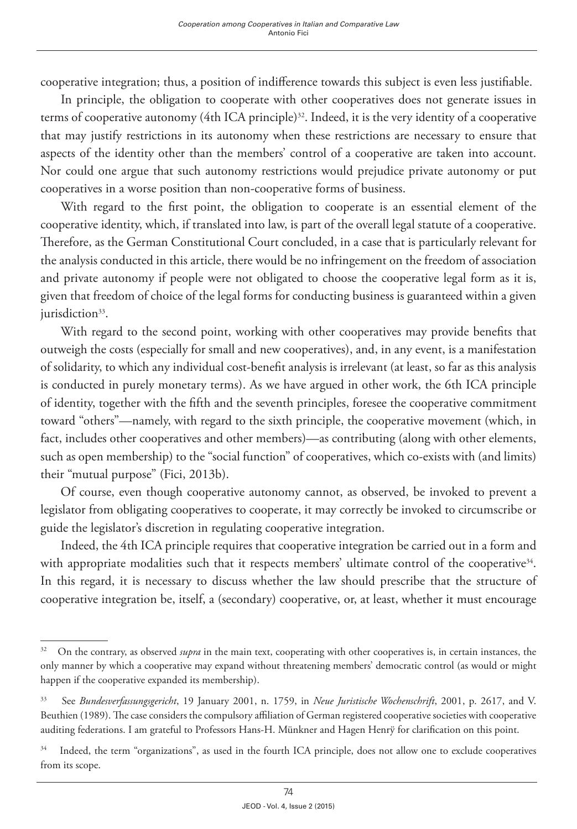cooperative integration; thus, a position of indifference towards this subject is even less justifiable.

In principle, the obligation to cooperate with other cooperatives does not generate issues in terms of cooperative autonomy (4th ICA principle)<sup>32</sup>. Indeed, it is the very identity of a cooperative that may justify restrictions in its autonomy when these restrictions are necessary to ensure that aspects of the identity other than the members' control of a cooperative are taken into account. Nor could one argue that such autonomy restrictions would prejudice private autonomy or put cooperatives in a worse position than non-cooperative forms of business.

With regard to the first point, the obligation to cooperate is an essential element of the cooperative identity, which, if translated into law, is part of the overall legal statute of a cooperative. Therefore, as the German Constitutional Court concluded, in a case that is particularly relevant for the analysis conducted in this article, there would be no infringement on the freedom of association and private autonomy if people were not obligated to choose the cooperative legal form as it is, given that freedom of choice of the legal forms for conducting business is guaranteed within a given jurisdiction<sup>33</sup>.

With regard to the second point, working with other cooperatives may provide benefits that outweigh the costs (especially for small and new cooperatives), and, in any event, is a manifestation of solidarity, to which any individual cost-benefit analysis is irrelevant (at least, so far as this analysis is conducted in purely monetary terms). As we have argued in other work, the 6th ICA principle of identity, together with the fifth and the seventh principles, foresee the cooperative commitment toward "others"—namely, with regard to the sixth principle, the cooperative movement (which, in fact, includes other cooperatives and other members)—as contributing (along with other elements, such as open membership) to the "social function" of cooperatives, which co-exists with (and limits) their "mutual purpose" (Fici, 2013b).

Of course, even though cooperative autonomy cannot, as observed, be invoked to prevent a legislator from obligating cooperatives to cooperate, it may correctly be invoked to circumscribe or guide the legislator's discretion in regulating cooperative integration.

Indeed, the 4th ICA principle requires that cooperative integration be carried out in a form and with appropriate modalities such that it respects members' ultimate control of the cooperative<sup>34</sup>. In this regard, it is necessary to discuss whether the law should prescribe that the structure of cooperative integration be, itself, a (secondary) cooperative, or, at least, whether it must encourage

<sup>&</sup>lt;sup>32</sup> On the contrary, as observed *supra* in the main text, cooperating with other cooperatives is, in certain instances, the only manner by which a cooperative may expand without threatening members' democratic control (as would or might happen if the cooperative expanded its membership).

<sup>33</sup> See *Bundesverfassungsgericht*, 19 January 2001, n. 1759, in *Neue Juristische Wochenschrift*, 2001, p. 2617, and V. Beuthien (1989). The case considers the compulsory affiliation of German registered cooperative societies with cooperative auditing federations. I am grateful to Professors Hans-H. Münkner and Hagen Henrÿ for clarification on this point.

<sup>&</sup>lt;sup>34</sup> Indeed, the term "organizations", as used in the fourth ICA principle, does not allow one to exclude cooperatives from its scope.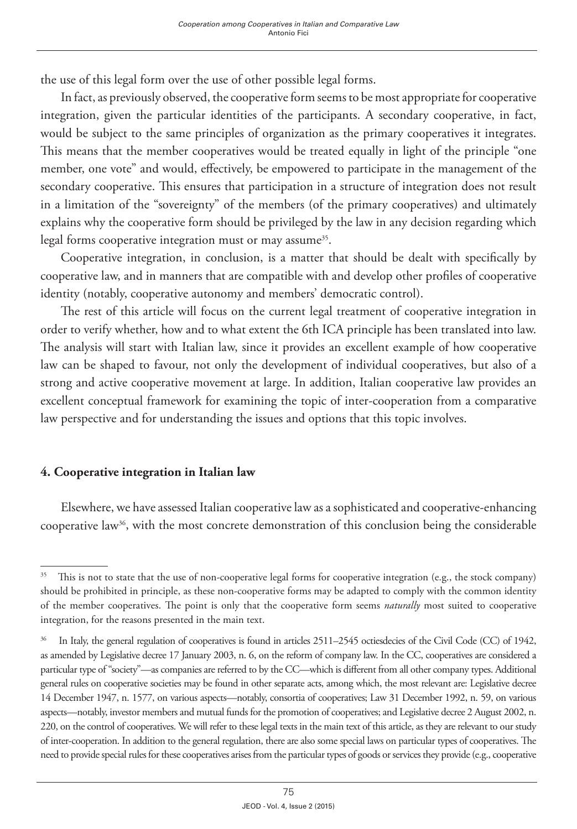the use of this legal form over the use of other possible legal forms.

In fact, as previously observed, the cooperative form seems to be most appropriate for cooperative integration, given the particular identities of the participants. A secondary cooperative, in fact, would be subject to the same principles of organization as the primary cooperatives it integrates. This means that the member cooperatives would be treated equally in light of the principle "one member, one vote" and would, effectively, be empowered to participate in the management of the secondary cooperative. This ensures that participation in a structure of integration does not result in a limitation of the "sovereignty" of the members (of the primary cooperatives) and ultimately explains why the cooperative form should be privileged by the law in any decision regarding which legal forms cooperative integration must or may assume<sup>35</sup>.

Cooperative integration, in conclusion, is a matter that should be dealt with specifically by cooperative law, and in manners that are compatible with and develop other profiles of cooperative identity (notably, cooperative autonomy and members' democratic control).

The rest of this article will focus on the current legal treatment of cooperative integration in order to verify whether, how and to what extent the 6th ICA principle has been translated into law. The analysis will start with Italian law, since it provides an excellent example of how cooperative law can be shaped to favour, not only the development of individual cooperatives, but also of a strong and active cooperative movement at large. In addition, Italian cooperative law provides an excellent conceptual framework for examining the topic of inter-cooperation from a comparative law perspective and for understanding the issues and options that this topic involves.

### **4. Cooperative integration in Italian law**

Elsewhere, we have assessed Italian cooperative law as a sophisticated and cooperative-enhancing cooperative law<sup>36</sup>, with the most concrete demonstration of this conclusion being the considerable

<sup>&</sup>lt;sup>35</sup> This is not to state that the use of non-cooperative legal forms for cooperative integration (e.g., the stock company) should be prohibited in principle, as these non-cooperative forms may be adapted to comply with the common identity of the member cooperatives. The point is only that the cooperative form seems *naturally* most suited to cooperative integration, for the reasons presented in the main text.

<sup>&</sup>lt;sup>36</sup> In Italy, the general regulation of cooperatives is found in articles 2511–2545 octiesdecies of the Civil Code (CC) of 1942, as amended by Legislative decree 17 January 2003, n. 6, on the reform of company law. In the CC, cooperatives are considered a particular type of "society"—as companies are referred to by the CC—which is different from all other company types. Additional general rules on cooperative societies may be found in other separate acts, among which, the most relevant are: Legislative decree 14 December 1947, n. 1577, on various aspects—notably, consortia of cooperatives; Law 31 December 1992, n. 59, on various aspects—notably, investor members and mutual funds for the promotion of cooperatives; and Legislative decree 2 August 2002, n. 220, on the control of cooperatives. We will refer to these legal texts in the main text of this article, as they are relevant to our study of inter-cooperation. In addition to the general regulation, there are also some special laws on particular types of cooperatives. The need to provide special rules for these cooperatives arises from the particular types of goods or services they provide (e.g., cooperative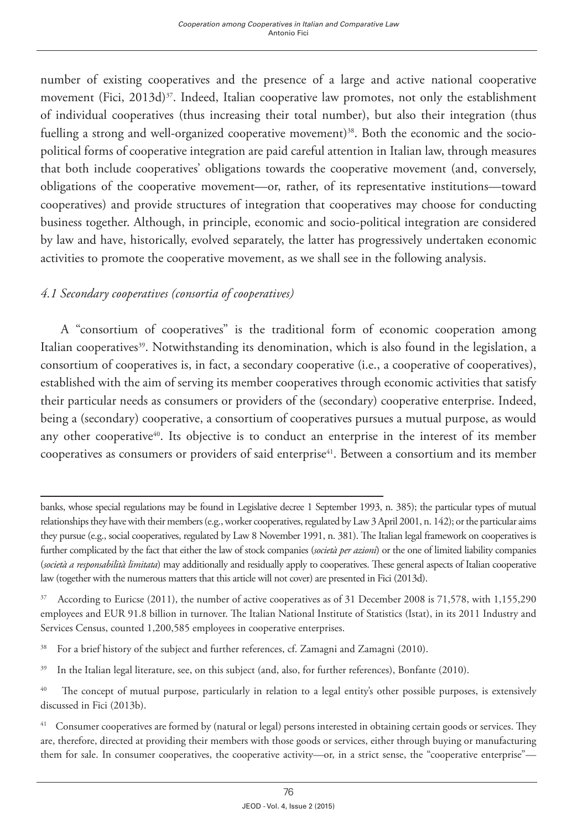number of existing cooperatives and the presence of a large and active national cooperative movement (Fici, 2013d)<sup>37</sup>. Indeed, Italian cooperative law promotes, not only the establishment of individual cooperatives (thus increasing their total number), but also their integration (thus fuelling a strong and well-organized cooperative movement)<sup>38</sup>. Both the economic and the sociopolitical forms of cooperative integration are paid careful attention in Italian law, through measures that both include cooperatives' obligations towards the cooperative movement (and, conversely, obligations of the cooperative movement—or, rather, of its representative institutions—toward cooperatives) and provide structures of integration that cooperatives may choose for conducting business together. Although, in principle, economic and socio-political integration are considered by law and have, historically, evolved separately, the latter has progressively undertaken economic activities to promote the cooperative movement, as we shall see in the following analysis.

# *4.1 Secondary cooperatives (consortia of cooperatives)*

A "consortium of cooperatives" is the traditional form of economic cooperation among Italian cooperatives<sup>39</sup>. Notwithstanding its denomination, which is also found in the legislation, a consortium of cooperatives is, in fact, a secondary cooperative (i.e., a cooperative of cooperatives), established with the aim of serving its member cooperatives through economic activities that satisfy their particular needs as consumers or providers of the (secondary) cooperative enterprise. Indeed, being a (secondary) cooperative, a consortium of cooperatives pursues a mutual purpose, as would any other cooperative<sup>40</sup>. Its objective is to conduct an enterprise in the interest of its member cooperatives as consumers or providers of said enterprise41. Between a consortium and its member

banks, whose special regulations may be found in Legislative decree 1 September 1993, n. 385); the particular types of mutual relationships they have with their members (e.g., worker cooperatives, regulated by Law 3 April 2001, n. 142); or the particular aims they pursue (e.g., social cooperatives, regulated by Law 8 November 1991, n. 381). The Italian legal framework on cooperatives is further complicated by the fact that either the law of stock companies (*società per azioni*) or the one of limited liability companies (*società a responsabilità limitata*) may additionally and residually apply to cooperatives. These general aspects of Italian cooperative law (together with the numerous matters that this article will not cover) are presented in Fici (2013d).

<sup>&</sup>lt;sup>37</sup> According to Euricse (2011), the number of active cooperatives as of 31 December 2008 is 71,578, with 1,155,290 employees and EUR 91.8 billion in turnover. The Italian National Institute of Statistics (Istat), in its 2011 Industry and Services Census, counted 1,200,585 employees in cooperative enterprises.

<sup>&</sup>lt;sup>38</sup> For a brief history of the subject and further references, cf. Zamagni and Zamagni (2010).

<sup>&</sup>lt;sup>39</sup> In the Italian legal literature, see, on this subject (and, also, for further references), Bonfante (2010).

<sup>&</sup>lt;sup>40</sup> The concept of mutual purpose, particularly in relation to a legal entity's other possible purposes, is extensively discussed in Fici (2013b).

<sup>41</sup> Consumer cooperatives are formed by (natural or legal) persons interested in obtaining certain goods or services. They are, therefore, directed at providing their members with those goods or services, either through buying or manufacturing them for sale. In consumer cooperatives, the cooperative activity—or, in a strict sense, the "cooperative enterprise"—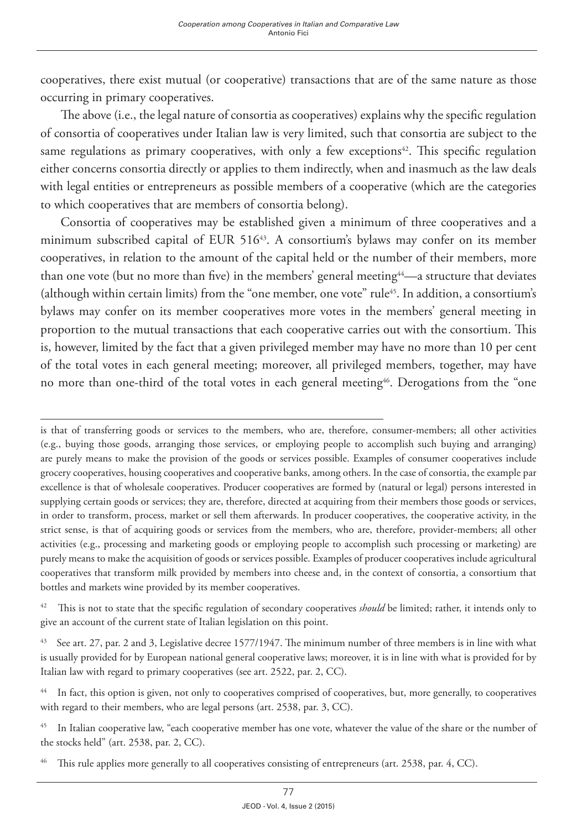cooperatives, there exist mutual (or cooperative) transactions that are of the same nature as those occurring in primary cooperatives.

The above (i.e., the legal nature of consortia as cooperatives) explains why the specific regulation of consortia of cooperatives under Italian law is very limited, such that consortia are subject to the same regulations as primary cooperatives, with only a few exceptions $42$ . This specific regulation either concerns consortia directly or applies to them indirectly, when and inasmuch as the law deals with legal entities or entrepreneurs as possible members of a cooperative (which are the categories to which cooperatives that are members of consortia belong).

Consortia of cooperatives may be established given a minimum of three cooperatives and a minimum subscribed capital of EUR 51643. A consortium's bylaws may confer on its member cooperatives, in relation to the amount of the capital held or the number of their members, more than one vote (but no more than five) in the members' general meeting44—a structure that deviates (although within certain limits) from the "one member, one vote" rule45. In addition, a consortium's bylaws may confer on its member cooperatives more votes in the members' general meeting in proportion to the mutual transactions that each cooperative carries out with the consortium. This is, however, limited by the fact that a given privileged member may have no more than 10 per cent of the total votes in each general meeting; moreover, all privileged members, together, may have no more than one-third of the total votes in each general meeting<sup>46</sup>. Derogations from the "one

is that of transferring goods or services to the members, who are, therefore, consumer-members; all other activities (e.g., buying those goods, arranging those services, or employing people to accomplish such buying and arranging) are purely means to make the provision of the goods or services possible. Examples of consumer cooperatives include grocery cooperatives, housing cooperatives and cooperative banks, among others. In the case of consortia, the example par excellence is that of wholesale cooperatives. Producer cooperatives are formed by (natural or legal) persons interested in supplying certain goods or services; they are, therefore, directed at acquiring from their members those goods or services, in order to transform, process, market or sell them afterwards. In producer cooperatives, the cooperative activity, in the strict sense, is that of acquiring goods or services from the members, who are, therefore, provider-members; all other activities (e.g., processing and marketing goods or employing people to accomplish such processing or marketing) are purely means to make the acquisition of goods or services possible. Examples of producer cooperatives include agricultural cooperatives that transform milk provided by members into cheese and, in the context of consortia, a consortium that bottles and markets wine provided by its member cooperatives.

<sup>&</sup>lt;sup>42</sup> This is not to state that the specific regulation of secondary cooperatives *should* be limited; rather, it intends only to give an account of the current state of Italian legislation on this point.

<sup>&</sup>lt;sup>43</sup> See art. 27, par. 2 and 3, Legislative decree 1577/1947. The minimum number of three members is in line with what is usually provided for by European national general cooperative laws; moreover, it is in line with what is provided for by Italian law with regard to primary cooperatives (see art. 2522, par. 2, CC).

<sup>&</sup>lt;sup>44</sup> In fact, this option is given, not only to cooperatives comprised of cooperatives, but, more generally, to cooperatives with regard to their members, who are legal persons (art. 2538, par. 3, CC).

<sup>&</sup>lt;sup>45</sup> In Italian cooperative law, "each cooperative member has one vote, whatever the value of the share or the number of the stocks held" (art. 2538, par. 2, CC).

This rule applies more generally to all cooperatives consisting of entrepreneurs (art. 2538, par. 4, CC).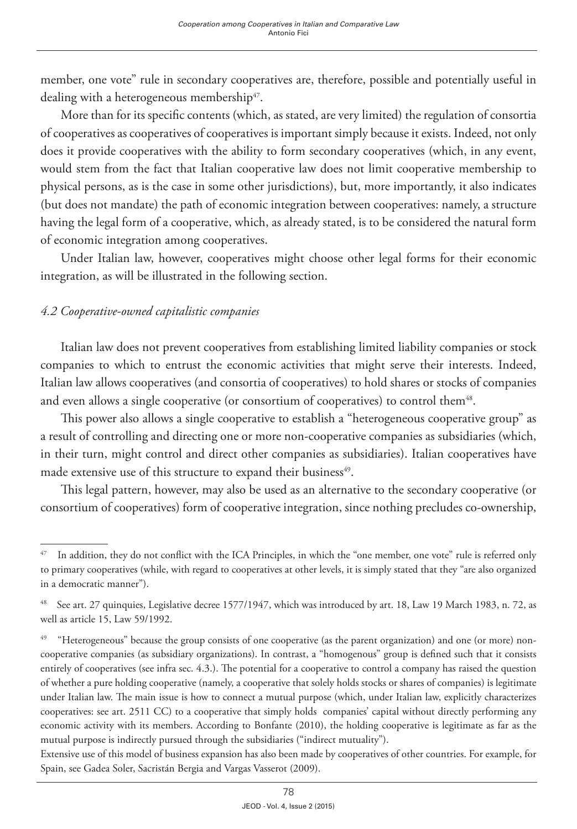member, one vote" rule in secondary cooperatives are, therefore, possible and potentially useful in dealing with a heterogeneous membership<sup>47</sup>.

More than for its specific contents (which, as stated, are very limited) the regulation of consortia of cooperatives as cooperatives of cooperatives is important simply because it exists. Indeed, not only does it provide cooperatives with the ability to form secondary cooperatives (which, in any event, would stem from the fact that Italian cooperative law does not limit cooperative membership to physical persons, as is the case in some other jurisdictions), but, more importantly, it also indicates (but does not mandate) the path of economic integration between cooperatives: namely, a structure having the legal form of a cooperative, which, as already stated, is to be considered the natural form of economic integration among cooperatives.

Under Italian law, however, cooperatives might choose other legal forms for their economic integration, as will be illustrated in the following section.

## *4.2 Cooperative-owned capitalistic companies*

Italian law does not prevent cooperatives from establishing limited liability companies or stock companies to which to entrust the economic activities that might serve their interests. Indeed, Italian law allows cooperatives (and consortia of cooperatives) to hold shares or stocks of companies and even allows a single cooperative (or consortium of cooperatives) to control them<sup>48</sup>.

This power also allows a single cooperative to establish a "heterogeneous cooperative group" as a result of controlling and directing one or more non-cooperative companies as subsidiaries (which, in their turn, might control and direct other companies as subsidiaries). Italian cooperatives have made extensive use of this structure to expand their business<sup>49</sup>.

This legal pattern, however, may also be used as an alternative to the secondary cooperative (or consortium of cooperatives) form of cooperative integration, since nothing precludes co-ownership,

<sup>&</sup>lt;sup>47</sup> In addition, they do not conflict with the ICA Principles, in which the "one member, one vote" rule is referred only to primary cooperatives (while, with regard to cooperatives at other levels, it is simply stated that they "are also organized in a democratic manner").

<sup>&</sup>lt;sup>48</sup> See art. 27 quinquies, Legislative decree 1577/1947, which was introduced by art. 18, Law 19 March 1983, n. 72, as well as article 15, Law 59/1992.

<sup>&</sup>lt;sup>49</sup> "Heterogeneous" because the group consists of one cooperative (as the parent organization) and one (or more) noncooperative companies (as subsidiary organizations). In contrast, a "homogenous" group is defined such that it consists entirely of cooperatives (see infra sec. 4.3.). The potential for a cooperative to control a company has raised the question of whether a pure holding cooperative (namely, a cooperative that solely holds stocks or shares of companies) is legitimate under Italian law. The main issue is how to connect a mutual purpose (which, under Italian law, explicitly characterizes cooperatives: see art. 2511 CC) to a cooperative that simply holds companies' capital without directly performing any economic activity with its members. According to Bonfante (2010), the holding cooperative is legitimate as far as the mutual purpose is indirectly pursued through the subsidiaries ("indirect mutuality").

Extensive use of this model of business expansion has also been made by cooperatives of other countries. For example, for Spain, see Gadea Soler, Sacristán Bergia and Vargas Vasserot (2009).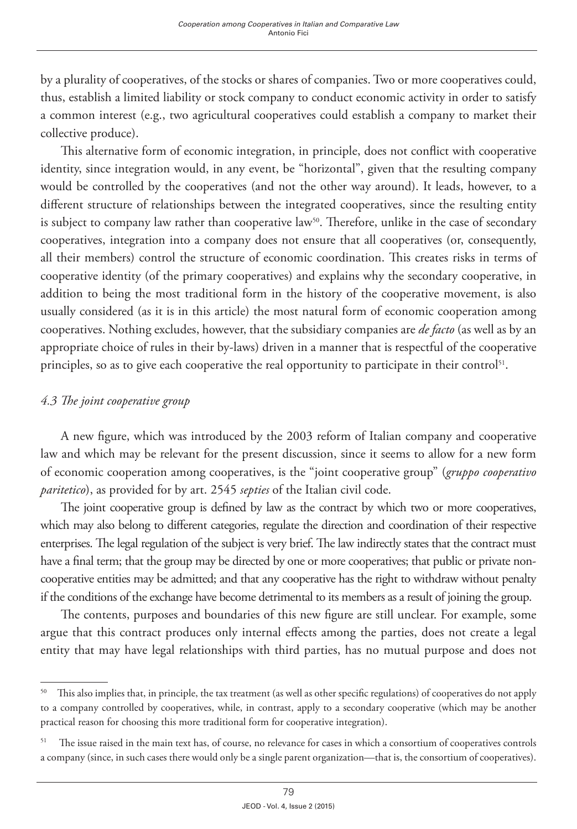by a plurality of cooperatives, of the stocks or shares of companies. Two or more cooperatives could, thus, establish a limited liability or stock company to conduct economic activity in order to satisfy a common interest (e.g., two agricultural cooperatives could establish a company to market their collective produce).

This alternative form of economic integration, in principle, does not conflict with cooperative identity, since integration would, in any event, be "horizontal", given that the resulting company would be controlled by the cooperatives (and not the other way around). It leads, however, to a different structure of relationships between the integrated cooperatives, since the resulting entity is subject to company law rather than cooperative law<sup>50</sup>. Therefore, unlike in the case of secondary cooperatives, integration into a company does not ensure that all cooperatives (or, consequently, all their members) control the structure of economic coordination. This creates risks in terms of cooperative identity (of the primary cooperatives) and explains why the secondary cooperative, in addition to being the most traditional form in the history of the cooperative movement, is also usually considered (as it is in this article) the most natural form of economic cooperation among cooperatives. Nothing excludes, however, that the subsidiary companies are *de facto* (as well as by an appropriate choice of rules in their by-laws) driven in a manner that is respectful of the cooperative principles, so as to give each cooperative the real opportunity to participate in their control<sup>51</sup>.

## *4.3 The joint cooperative group*

A new figure, which was introduced by the 2003 reform of Italian company and cooperative law and which may be relevant for the present discussion, since it seems to allow for a new form of economic cooperation among cooperatives, is the "joint cooperative group" (*gruppo cooperativo paritetico*), as provided for by art. 2545 *septies* of the Italian civil code.

The joint cooperative group is defined by law as the contract by which two or more cooperatives, which may also belong to different categories, regulate the direction and coordination of their respective enterprises. The legal regulation of the subject is very brief. The law indirectly states that the contract must have a final term; that the group may be directed by one or more cooperatives; that public or private noncooperative entities may be admitted; and that any cooperative has the right to withdraw without penalty if the conditions of the exchange have become detrimental to its members as a result of joining the group.

The contents, purposes and boundaries of this new figure are still unclear. For example, some argue that this contract produces only internal effects among the parties, does not create a legal entity that may have legal relationships with third parties, has no mutual purpose and does not

<sup>&</sup>lt;sup>50</sup> This also implies that, in principle, the tax treatment (as well as other specific regulations) of cooperatives do not apply to a company controlled by cooperatives, while, in contrast, apply to a secondary cooperative (which may be another practical reason for choosing this more traditional form for cooperative integration).

<sup>&</sup>lt;sup>51</sup> The issue raised in the main text has, of course, no relevance for cases in which a consortium of cooperatives controls a company (since, in such cases there would only be a single parent organization—that is, the consortium of cooperatives).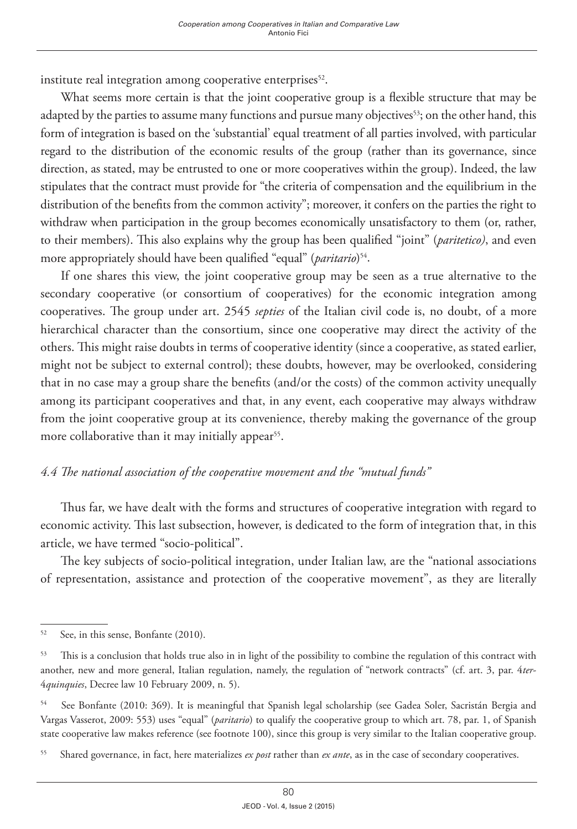institute real integration among cooperative enterprises $52$ .

What seems more certain is that the joint cooperative group is a flexible structure that may be adapted by the parties to assume many functions and pursue many objectives<sup>53</sup>; on the other hand, this form of integration is based on the 'substantial' equal treatment of all parties involved, with particular regard to the distribution of the economic results of the group (rather than its governance, since direction, as stated, may be entrusted to one or more cooperatives within the group). Indeed, the law stipulates that the contract must provide for "the criteria of compensation and the equilibrium in the distribution of the benefits from the common activity"; moreover, it confers on the parties the right to withdraw when participation in the group becomes economically unsatisfactory to them (or, rather, to their members). This also explains why the group has been qualified "joint" (*paritetico)*, and even more appropriately should have been qualified "equal" (*paritario*)<sup>54</sup>.

If one shares this view, the joint cooperative group may be seen as a true alternative to the secondary cooperative (or consortium of cooperatives) for the economic integration among cooperatives. The group under art. 2545 *septies* of the Italian civil code is, no doubt, of a more hierarchical character than the consortium, since one cooperative may direct the activity of the others. This might raise doubts in terms of cooperative identity (since a cooperative, as stated earlier, might not be subject to external control); these doubts, however, may be overlooked, considering that in no case may a group share the benefits (and/or the costs) of the common activity unequally among its participant cooperatives and that, in any event, each cooperative may always withdraw from the joint cooperative group at its convenience, thereby making the governance of the group more collaborative than it may initially appear<sup>55</sup>.

### *4.4 The national association of the cooperative movement and the "mutual funds"*

Thus far, we have dealt with the forms and structures of cooperative integration with regard to economic activity. This last subsection, however, is dedicated to the form of integration that, in this article, we have termed "socio-political".

The key subjects of socio-political integration, under Italian law, are the "national associations of representation, assistance and protection of the cooperative movement", as they are literally

<sup>&</sup>lt;sup>52</sup> See, in this sense, Bonfante (2010).

<sup>&</sup>lt;sup>53</sup> This is a conclusion that holds true also in in light of the possibility to combine the regulation of this contract with another, new and more general, Italian regulation, namely, the regulation of "network contracts" (cf. art. 3, par. 4*ter*-4*quinquies*, Decree law 10 February 2009, n. 5).

<sup>54</sup> See Bonfante (2010: 369). It is meaningful that Spanish legal scholarship (see Gadea Soler, Sacristán Bergia and Vargas Vasserot, 2009: 553) uses "equal" (*paritario*) to qualify the cooperative group to which art. 78, par. 1, of Spanish state cooperative law makes reference (see footnote 100), since this group is very similar to the Italian cooperative group.

<sup>55</sup> Shared governance, in fact, here materializes *ex post* rather than *ex ante*, as in the case of secondary cooperatives.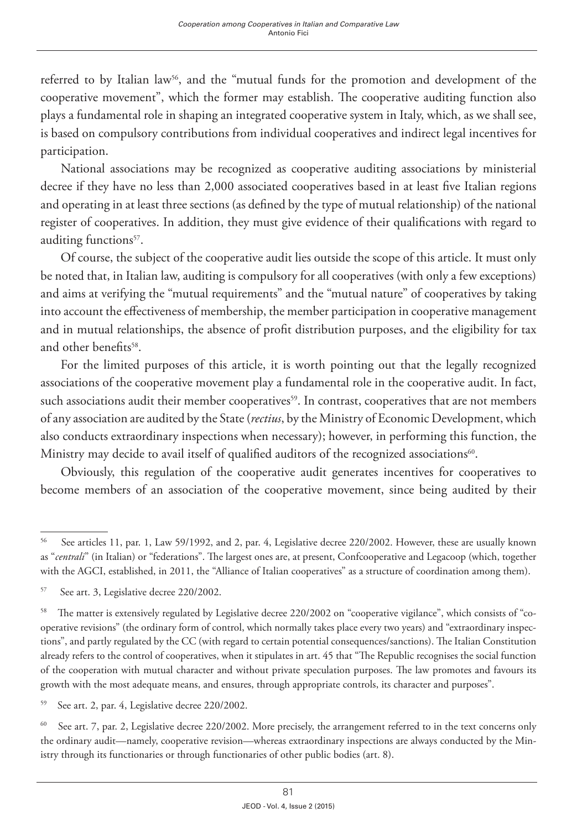referred to by Italian law<sup>56</sup>, and the "mutual funds for the promotion and development of the cooperative movement", which the former may establish. The cooperative auditing function also plays a fundamental role in shaping an integrated cooperative system in Italy, which, as we shall see, is based on compulsory contributions from individual cooperatives and indirect legal incentives for participation.

National associations may be recognized as cooperative auditing associations by ministerial decree if they have no less than 2,000 associated cooperatives based in at least five Italian regions and operating in at least three sections (as defined by the type of mutual relationship) of the national register of cooperatives. In addition, they must give evidence of their qualifications with regard to auditing functions<sup>57</sup>.

Of course, the subject of the cooperative audit lies outside the scope of this article. It must only be noted that, in Italian law, auditing is compulsory for all cooperatives (with only a few exceptions) and aims at verifying the "mutual requirements" and the "mutual nature" of cooperatives by taking into account the effectiveness of membership, the member participation in cooperative management and in mutual relationships, the absence of profit distribution purposes, and the eligibility for tax and other benefits<sup>58</sup>.

For the limited purposes of this article, it is worth pointing out that the legally recognized associations of the cooperative movement play a fundamental role in the cooperative audit. In fact, such associations audit their member cooperatives<sup>59</sup>. In contrast, cooperatives that are not members of any association are audited by the State (*rectius*, by the Ministry of Economic Development, which also conducts extraordinary inspections when necessary); however, in performing this function, the Ministry may decide to avail itself of qualified auditors of the recognized associations<sup>60</sup>.

Obviously, this regulation of the cooperative audit generates incentives for cooperatives to become members of an association of the cooperative movement, since being audited by their

<sup>60</sup> See art. 7, par. 2, Legislative decree 220/2002. More precisely, the arrangement referred to in the text concerns only the ordinary audit—namely, cooperative revision—whereas extraordinary inspections are always conducted by the Ministry through its functionaries or through functionaries of other public bodies (art. 8).

<sup>56</sup> See articles 11, par. 1, Law 59/1992, and 2, par. 4, Legislative decree 220/2002. However, these are usually known as "*centrali*" (in Italian) or "federations". The largest ones are, at present, Confcooperative and Legacoop (which, together with the AGCI, established, in 2011, the "Alliance of Italian cooperatives" as a structure of coordination among them).

<sup>57</sup> See art. 3, Legislative decree 220/2002.

<sup>58</sup> The matter is extensively regulated by Legislative decree 220/2002 on "cooperative vigilance", which consists of "cooperative revisions" (the ordinary form of control, which normally takes place every two years) and "extraordinary inspections", and partly regulated by the CC (with regard to certain potential consequences/sanctions). The Italian Constitution already refers to the control of cooperatives, when it stipulates in art. 45 that "The Republic recognises the social function of the cooperation with mutual character and without private speculation purposes. The law promotes and favours its growth with the most adequate means, and ensures, through appropriate controls, its character and purposes".

<sup>59</sup> See art. 2, par. 4, Legislative decree 220/2002.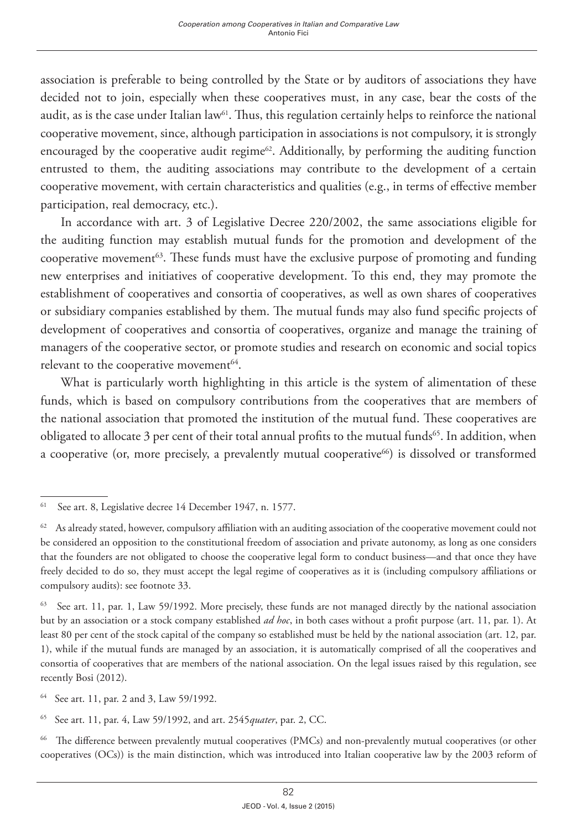association is preferable to being controlled by the State or by auditors of associations they have decided not to join, especially when these cooperatives must, in any case, bear the costs of the audit, as is the case under Italian law<sup>61</sup>. Thus, this regulation certainly helps to reinforce the national cooperative movement, since, although participation in associations is not compulsory, it is strongly encouraged by the cooperative audit regime $62$ . Additionally, by performing the auditing function entrusted to them, the auditing associations may contribute to the development of a certain cooperative movement, with certain characteristics and qualities (e.g., in terms of effective member participation, real democracy, etc.).

In accordance with art. 3 of Legislative Decree 220/2002, the same associations eligible for the auditing function may establish mutual funds for the promotion and development of the cooperative movement $63$ . These funds must have the exclusive purpose of promoting and funding new enterprises and initiatives of cooperative development. To this end, they may promote the establishment of cooperatives and consortia of cooperatives, as well as own shares of cooperatives or subsidiary companies established by them. The mutual funds may also fund specific projects of development of cooperatives and consortia of cooperatives, organize and manage the training of managers of the cooperative sector, or promote studies and research on economic and social topics relevant to the cooperative movement<sup>64</sup>.

What is particularly worth highlighting in this article is the system of alimentation of these funds, which is based on compulsory contributions from the cooperatives that are members of the national association that promoted the institution of the mutual fund. These cooperatives are obligated to allocate 3 per cent of their total annual profits to the mutual funds<sup>65</sup>. In addition, when a cooperative (or, more precisely, a prevalently mutual cooperative $^{66}$ ) is dissolved or transformed

64 See art. 11, par. 2 and 3, Law 59/1992.

65 See art. 11, par. 4, Law 59/1992, and art. 2545*quater*, par. 2, CC.

66 The difference between prevalently mutual cooperatives (PMCs) and non-prevalently mutual cooperatives (or other cooperatives (OCs)) is the main distinction, which was introduced into Italian cooperative law by the 2003 reform of

<sup>61</sup> See art. 8, Legislative decree 14 December 1947, n. 1577.

 $62$  As already stated, however, compulsory affiliation with an auditing association of the cooperative movement could not be considered an opposition to the constitutional freedom of association and private autonomy, as long as one considers that the founders are not obligated to choose the cooperative legal form to conduct business—and that once they have freely decided to do so, they must accept the legal regime of cooperatives as it is (including compulsory affiliations or compulsory audits): see footnote 33.

<sup>&</sup>lt;sup>63</sup> See art. 11, par. 1, Law 59/1992. More precisely, these funds are not managed directly by the national association but by an association or a stock company established *ad hoc*, in both cases without a profit purpose (art. 11, par. 1). At least 80 per cent of the stock capital of the company so established must be held by the national association (art. 12, par. 1), while if the mutual funds are managed by an association, it is automatically comprised of all the cooperatives and consortia of cooperatives that are members of the national association. On the legal issues raised by this regulation, see recently Bosi (2012).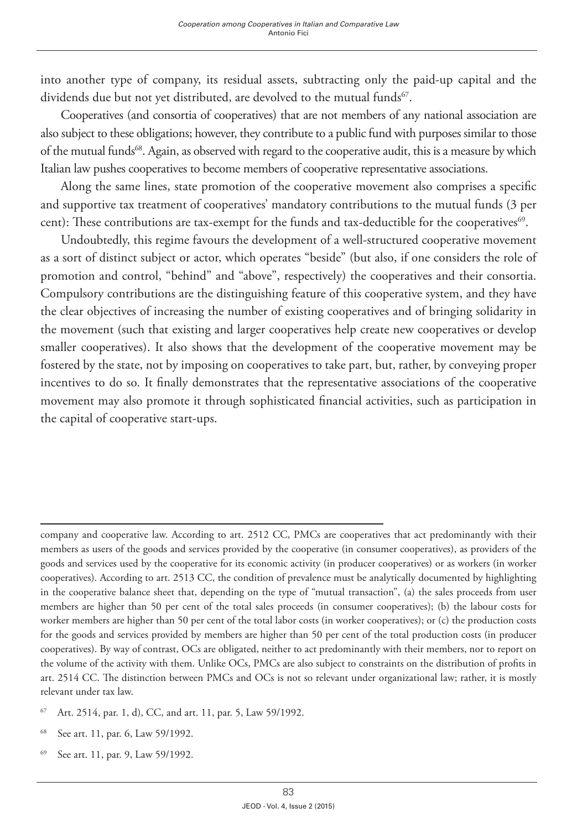into another type of company, its residual assets, subtracting only the paid-up capital and the dividends due but not yet distributed, are devolved to the mutual funds<sup>67</sup>.

Cooperatives (and consortia of cooperatives) that are not members of any national association are also subject to these obligations; however, they contribute to a public fund with purposes similar to those of the mutual funds68. Again, as observed with regard to the cooperative audit, this is a measure by which Italian law pushes cooperatives to become members of cooperative representative associations.

Along the same lines, state promotion of the cooperative movement also comprises a specific and supportive tax treatment of cooperatives' mandatory contributions to the mutual funds (3 per cent): These contributions are tax-exempt for the funds and tax-deductible for the cooperatives<sup>69</sup>.

Undoubtedly, this regime favours the development of a well-structured cooperative movement as a sort of distinct subject or actor, which operates "beside" (but also, if one considers the role of promotion and control, "behind" and "above", respectively) the cooperatives and their consortia. Compulsory contributions are the distinguishing feature of this cooperative system, and they have the clear objectives of increasing the number of existing cooperatives and of bringing solidarity in the movement (such that existing and larger cooperatives help create new cooperatives or develop smaller cooperatives). It also shows that the development of the cooperative movement may be fostered by the state, not by imposing on cooperatives to take part, but, rather, by conveying proper incentives to do so. It finally demonstrates that the representative associations of the cooperative movement may also promote it through sophisticated financial activities, such as participation in the capital of cooperative start-ups.

- 67 Art. 2514, par. 1, d), CC, and art. 11, par. 5, Law 59/1992.
- 68 See art. 11, par. 6, Law 59/1992.
- 69 See art. 11, par. 9, Law 59/1992.

company and cooperative law. According to art. 2512 CC, PMCs are cooperatives that act predominantly with their members as users of the goods and services provided by the cooperative (in consumer cooperatives), as providers of the goods and services used by the cooperative for its economic activity (in producer cooperatives) or as workers (in worker cooperatives). According to art. 2513 CC, the condition of prevalence must be analytically documented by highlighting in the cooperative balance sheet that, depending on the type of "mutual transaction", (a) the sales proceeds from user members are higher than 50 per cent of the total sales proceeds (in consumer cooperatives); (b) the labour costs for worker members are higher than 50 per cent of the total labor costs (in worker cooperatives); or (c) the production costs for the goods and services provided by members are higher than 50 per cent of the total production costs (in producer cooperatives). By way of contrast, OCs are obligated, neither to act predominantly with their members, nor to report on the volume of the activity with them. Unlike OCs, PMCs are also subject to constraints on the distribution of profits in art. 2514 CC. The distinction between PMCs and OCs is not so relevant under organizational law; rather, it is mostly relevant under tax law.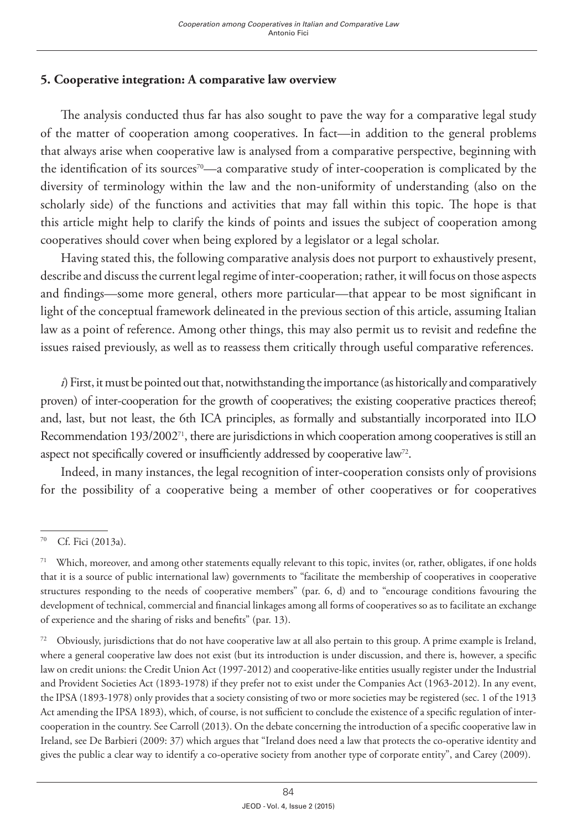# **5. Cooperative integration: A comparative law overview**

The analysis conducted thus far has also sought to pave the way for a comparative legal study of the matter of cooperation among cooperatives. In fact—in addition to the general problems that always arise when cooperative law is analysed from a comparative perspective, beginning with the identification of its sources<sup>70</sup>—a comparative study of inter-cooperation is complicated by the diversity of terminology within the law and the non-uniformity of understanding (also on the scholarly side) of the functions and activities that may fall within this topic. The hope is that this article might help to clarify the kinds of points and issues the subject of cooperation among cooperatives should cover when being explored by a legislator or a legal scholar.

Having stated this, the following comparative analysis does not purport to exhaustively present, describe and discuss the current legal regime of inter-cooperation; rather, it will focus on those aspects and findings—some more general, others more particular—that appear to be most significant in light of the conceptual framework delineated in the previous section of this article, assuming Italian law as a point of reference. Among other things, this may also permit us to revisit and redefine the issues raised previously, as well as to reassess them critically through useful comparative references.

*i*) First, it must be pointed out that, notwithstanding the importance (as historically and comparatively proven) of inter-cooperation for the growth of cooperatives; the existing cooperative practices thereof; and, last, but not least, the 6th ICA principles, as formally and substantially incorporated into ILO Recommendation 193/2002<sup>71</sup>, there are jurisdictions in which cooperation among cooperatives is still an aspect not specifically covered or insufficiently addressed by cooperative law<sup>72</sup>.

Indeed, in many instances, the legal recognition of inter-cooperation consists only of provisions for the possibility of a cooperative being a member of other cooperatives or for cooperatives

<sup>70</sup> Cf. Fici (2013a).

<sup>71</sup> Which, moreover, and among other statements equally relevant to this topic, invites (or, rather, obligates, if one holds that it is a source of public international law) governments to "facilitate the membership of cooperatives in cooperative structures responding to the needs of cooperative members" (par. 6, d) and to "encourage conditions favouring the development of technical, commercial and financial linkages among all forms of cooperatives so as to facilitate an exchange of experience and the sharing of risks and benefits" (par. 13).

<sup>&</sup>lt;sup>72</sup> Obviously, jurisdictions that do not have cooperative law at all also pertain to this group. A prime example is Ireland, where a general cooperative law does not exist (but its introduction is under discussion, and there is, however, a specific law on credit unions: the Credit Union Act (1997-2012) and cooperative-like entities usually register under the Industrial and Provident Societies Act (1893-1978) if they prefer not to exist under the Companies Act (1963-2012). In any event, the IPSA (1893-1978) only provides that a society consisting of two or more societies may be registered (sec. 1 of the 1913 Act amending the IPSA 1893), which, of course, is not sufficient to conclude the existence of a specific regulation of intercooperation in the country. See Carroll (2013). On the debate concerning the introduction of a specific cooperative law in Ireland, see De Barbieri (2009: 37) which argues that "Ireland does need a law that protects the co-operative identity and gives the public a clear way to identify a co-operative society from another type of corporate entity", and Carey (2009).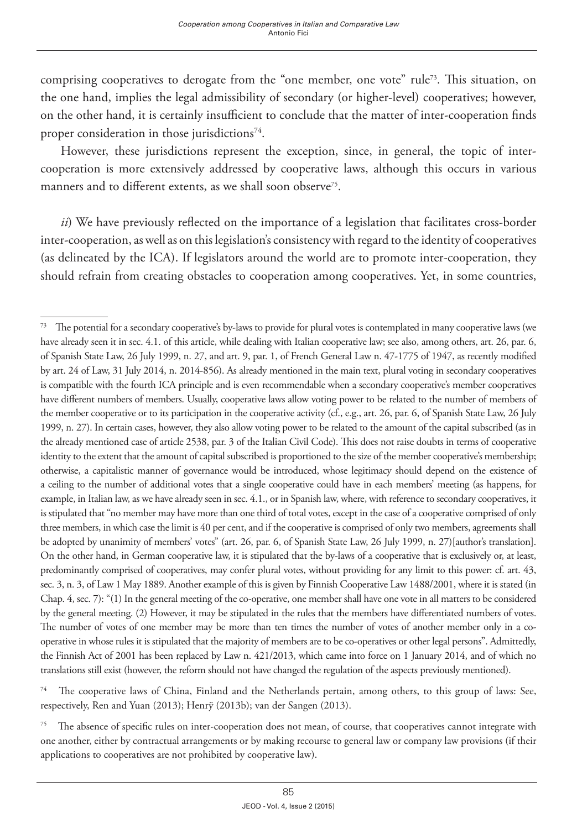comprising cooperatives to derogate from the "one member, one vote" rule<sup>73</sup>. This situation, on the one hand, implies the legal admissibility of secondary (or higher-level) cooperatives; however, on the other hand, it is certainly insufficient to conclude that the matter of inter-cooperation finds proper consideration in those jurisdictions<sup>74</sup>.

However, these jurisdictions represent the exception, since, in general, the topic of intercooperation is more extensively addressed by cooperative laws, although this occurs in various manners and to different extents, as we shall soon observe<sup>75</sup>.

*ii*) We have previously reflected on the importance of a legislation that facilitates cross-border inter-cooperation, as well as on this legislation's consistency with regard to the identity of cooperatives (as delineated by the ICA). If legislators around the world are to promote inter-cooperation, they should refrain from creating obstacles to cooperation among cooperatives. Yet, in some countries,

74 The cooperative laws of China, Finland and the Netherlands pertain, among others, to this group of laws: See, respectively, Ren and Yuan (2013); Henrÿ (2013b); van der Sangen (2013).

<sup>&</sup>lt;sup>73</sup> The potential for a secondary cooperative's by-laws to provide for plural votes is contemplated in many cooperative laws (we have already seen it in sec. 4.1. of this article, while dealing with Italian cooperative law; see also, among others, art. 26, par. 6, of Spanish State Law, 26 July 1999, n. 27, and art. 9, par. 1, of French General Law n. 47-1775 of 1947, as recently modified by art. 24 of Law, 31 July 2014, n. 2014-856). As already mentioned in the main text, plural voting in secondary cooperatives is compatible with the fourth ICA principle and is even recommendable when a secondary cooperative's member cooperatives have different numbers of members. Usually, cooperative laws allow voting power to be related to the number of members of the member cooperative or to its participation in the cooperative activity (cf., e.g., art. 26, par. 6, of Spanish State Law, 26 July 1999, n. 27). In certain cases, however, they also allow voting power to be related to the amount of the capital subscribed (as in the already mentioned case of article 2538, par. 3 of the Italian Civil Code). This does not raise doubts in terms of cooperative identity to the extent that the amount of capital subscribed is proportioned to the size of the member cooperative's membership; otherwise, a capitalistic manner of governance would be introduced, whose legitimacy should depend on the existence of a ceiling to the number of additional votes that a single cooperative could have in each members' meeting (as happens, for example, in Italian law, as we have already seen in sec. 4.1., or in Spanish law, where, with reference to secondary cooperatives, it is stipulated that "no member may have more than one third of total votes, except in the case of a cooperative comprised of only three members, in which case the limit is 40 per cent, and if the cooperative is comprised of only two members, agreements shall be adopted by unanimity of members' votes" (art. 26, par. 6, of Spanish State Law, 26 July 1999, n. 27)[author's translation]. On the other hand, in German cooperative law, it is stipulated that the by-laws of a cooperative that is exclusively or, at least, predominantly comprised of cooperatives, may confer plural votes, without providing for any limit to this power: cf. art. 43, sec. 3, n. 3, of Law 1 May 1889. Another example of this is given by Finnish Cooperative Law 1488/2001, where it is stated (in Chap. 4, sec. 7): "(1) In the general meeting of the co-operative, one member shall have one vote in all matters to be considered by the general meeting. (2) However, it may be stipulated in the rules that the members have differentiated numbers of votes. The number of votes of one member may be more than ten times the number of votes of another member only in a cooperative in whose rules it is stipulated that the majority of members are to be co-operatives or other legal persons". Admittedly, the Finnish Act of 2001 has been replaced by Law n. 421/2013, which came into force on 1 January 2014, and of which no translations still exist (however, the reform should not have changed the regulation of the aspects previously mentioned).

 $75$  The absence of specific rules on inter-cooperation does not mean, of course, that cooperatives cannot integrate with one another, either by contractual arrangements or by making recourse to general law or company law provisions (if their applications to cooperatives are not prohibited by cooperative law).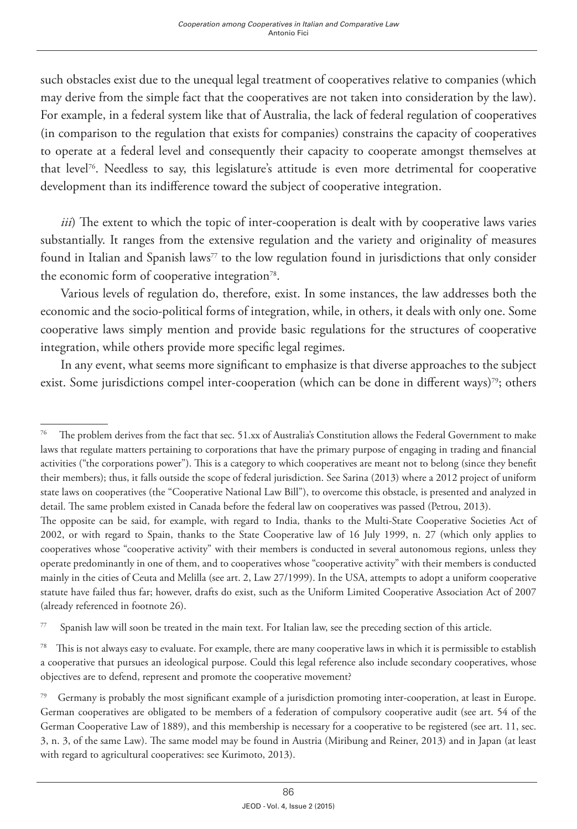such obstacles exist due to the unequal legal treatment of cooperatives relative to companies (which may derive from the simple fact that the cooperatives are not taken into consideration by the law). For example, in a federal system like that of Australia, the lack of federal regulation of cooperatives (in comparison to the regulation that exists for companies) constrains the capacity of cooperatives to operate at a federal level and consequently their capacity to cooperate amongst themselves at that level76. Needless to say, this legislature's attitude is even more detrimental for cooperative development than its indifference toward the subject of cooperative integration.

*iii*) The extent to which the topic of inter-cooperation is dealt with by cooperative laws varies substantially. It ranges from the extensive regulation and the variety and originality of measures found in Italian and Spanish laws<sup>77</sup> to the low regulation found in jurisdictions that only consider the economic form of cooperative integration<sup>78</sup>.

Various levels of regulation do, therefore, exist. In some instances, the law addresses both the economic and the socio-political forms of integration, while, in others, it deals with only one. Some cooperative laws simply mention and provide basic regulations for the structures of cooperative integration, while others provide more specific legal regimes.

In any event, what seems more significant to emphasize is that diverse approaches to the subject exist. Some jurisdictions compel inter-cooperation (which can be done in different ways)<sup>79</sup>; others

<sup>&</sup>lt;sup>76</sup> The problem derives from the fact that sec. 51.xx of Australia's Constitution allows the Federal Government to make laws that regulate matters pertaining to corporations that have the primary purpose of engaging in trading and financial activities ("the corporations power"). This is a category to which cooperatives are meant not to belong (since they benefit their members); thus, it falls outside the scope of federal jurisdiction. See Sarina (2013) where a 2012 project of uniform state laws on cooperatives (the "Cooperative National Law Bill"), to overcome this obstacle, is presented and analyzed in detail. The same problem existed in Canada before the federal law on cooperatives was passed (Petrou, 2013).

The opposite can be said, for example, with regard to India, thanks to the Multi-State Cooperative Societies Act of 2002, or with regard to Spain, thanks to the State Cooperative law of 16 July 1999, n. 27 (which only applies to cooperatives whose "cooperative activity" with their members is conducted in several autonomous regions, unless they operate predominantly in one of them, and to cooperatives whose "cooperative activity" with their members is conducted mainly in the cities of Ceuta and Melilla (see art. 2, Law 27/1999). In the USA, attempts to adopt a uniform cooperative statute have failed thus far; however, drafts do exist, such as the Uniform Limited Cooperative Association Act of 2007 (already referenced in footnote 26).

<sup>77</sup> Spanish law will soon be treated in the main text. For Italian law, see the preceding section of this article.

<sup>&</sup>lt;sup>78</sup> This is not always easy to evaluate. For example, there are many cooperative laws in which it is permissible to establish a cooperative that pursues an ideological purpose. Could this legal reference also include secondary cooperatives, whose objectives are to defend, represent and promote the cooperative movement?

<sup>&</sup>lt;sup>79</sup> Germany is probably the most significant example of a jurisdiction promoting inter-cooperation, at least in Europe. German cooperatives are obligated to be members of a federation of compulsory cooperative audit (see art. 54 of the German Cooperative Law of 1889), and this membership is necessary for a cooperative to be registered (see art. 11, sec. 3, n. 3, of the same Law). The same model may be found in Austria (Miribung and Reiner, 2013) and in Japan (at least with regard to agricultural cooperatives: see Kurimoto, 2013).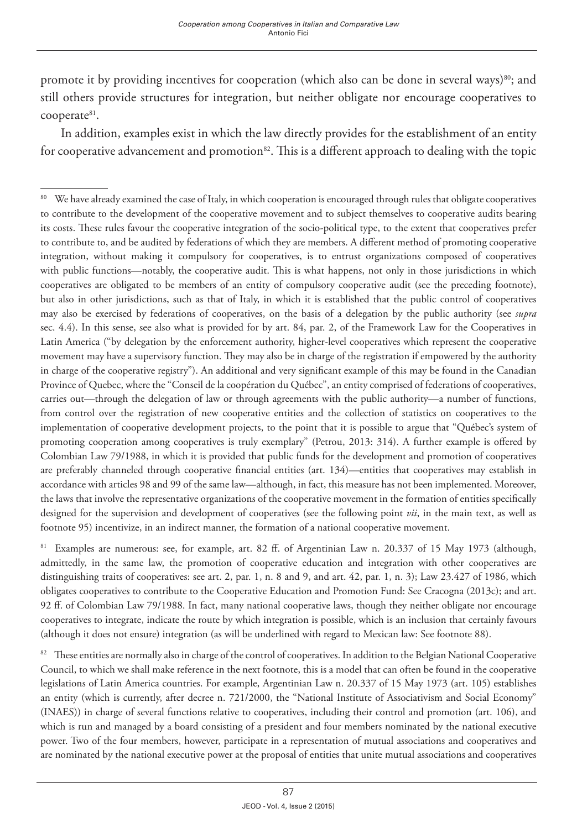promote it by providing incentives for cooperation (which also can be done in several ways) $80$ ; and still others provide structures for integration, but neither obligate nor encourage cooperatives to cooperate<sup>81</sup>.

In addition, examples exist in which the law directly provides for the establishment of an entity for cooperative advancement and promotion<sup>82</sup>. This is a different approach to dealing with the topic

<sup>81</sup> Examples are numerous: see, for example, art. 82 ff. of Argentinian Law n. 20.337 of 15 May 1973 (although, admittedly, in the same law, the promotion of cooperative education and integration with other cooperatives are distinguishing traits of cooperatives: see art. 2, par. 1, n. 8 and 9, and art. 42, par. 1, n. 3); Law 23.427 of 1986, which obligates cooperatives to contribute to the Cooperative Education and Promotion Fund: See Cracogna (2013c); and art. 92 ff. of Colombian Law 79/1988. In fact, many national cooperative laws, though they neither obligate nor encourage cooperatives to integrate, indicate the route by which integration is possible, which is an inclusion that certainly favours (although it does not ensure) integration (as will be underlined with regard to Mexican law: See footnote 88).

82 These entities are normally also in charge of the control of cooperatives. In addition to the Belgian National Cooperative Council, to which we shall make reference in the next footnote, this is a model that can often be found in the cooperative legislations of Latin America countries. For example, Argentinian Law n. 20.337 of 15 May 1973 (art. 105) establishes an entity (which is currently, after decree n. 721/2000, the "National Institute of Associativism and Social Economy" (INAES)) in charge of several functions relative to cooperatives, including their control and promotion (art. 106), and which is run and managed by a board consisting of a president and four members nominated by the national executive power. Two of the four members, however, participate in a representation of mutual associations and cooperatives and are nominated by the national executive power at the proposal of entities that unite mutual associations and cooperatives

<sup>80</sup> We have already examined the case of Italy, in which cooperation is encouraged through rules that obligate cooperatives to contribute to the development of the cooperative movement and to subject themselves to cooperative audits bearing its costs. These rules favour the cooperative integration of the socio-political type, to the extent that cooperatives prefer to contribute to, and be audited by federations of which they are members. A different method of promoting cooperative integration, without making it compulsory for cooperatives, is to entrust organizations composed of cooperatives with public functions—notably, the cooperative audit. This is what happens, not only in those jurisdictions in which cooperatives are obligated to be members of an entity of compulsory cooperative audit (see the preceding footnote), but also in other jurisdictions, such as that of Italy, in which it is established that the public control of cooperatives may also be exercised by federations of cooperatives, on the basis of a delegation by the public authority (see *supra* sec. 4.4). In this sense, see also what is provided for by art. 84, par. 2, of the Framework Law for the Cooperatives in Latin America ("by delegation by the enforcement authority, higher-level cooperatives which represent the cooperative movement may have a supervisory function. They may also be in charge of the registration if empowered by the authority in charge of the cooperative registry"). An additional and very significant example of this may be found in the Canadian Province of Quebec, where the "Conseil de la coopération du Québec", an entity comprised of federations of cooperatives, carries out—through the delegation of law or through agreements with the public authority—a number of functions, from control over the registration of new cooperative entities and the collection of statistics on cooperatives to the implementation of cooperative development projects, to the point that it is possible to argue that "Québec's system of promoting cooperation among cooperatives is truly exemplary" (Petrou, 2013: 314). A further example is offered by Colombian Law 79/1988, in which it is provided that public funds for the development and promotion of cooperatives are preferably channeled through cooperative financial entities (art. 134)—entities that cooperatives may establish in accordance with articles 98 and 99 of the same law—although, in fact, this measure has not been implemented. Moreover, the laws that involve the representative organizations of the cooperative movement in the formation of entities specifically designed for the supervision and development of cooperatives (see the following point *vii*, in the main text, as well as footnote 95) incentivize, in an indirect manner, the formation of a national cooperative movement.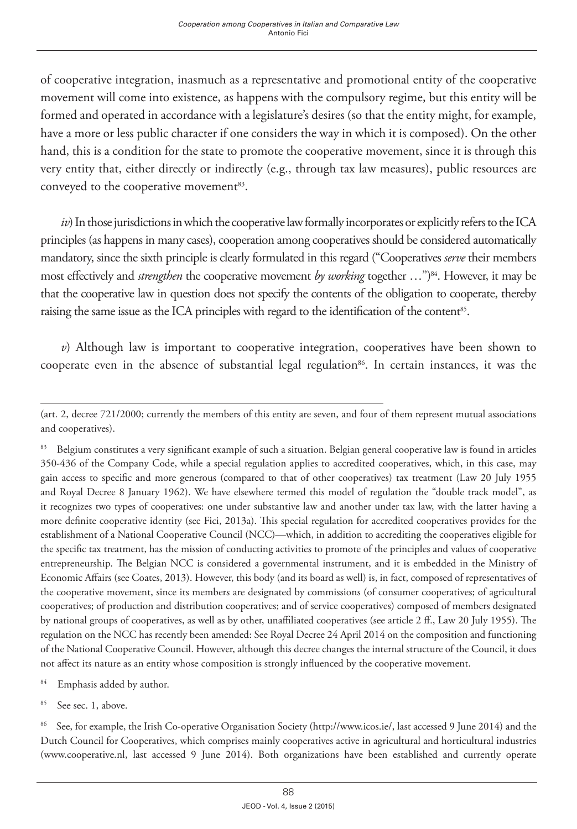of cooperative integration, inasmuch as a representative and promotional entity of the cooperative movement will come into existence, as happens with the compulsory regime, but this entity will be formed and operated in accordance with a legislature's desires (so that the entity might, for example, have a more or less public character if one considers the way in which it is composed). On the other hand, this is a condition for the state to promote the cooperative movement, since it is through this very entity that, either directly or indirectly (e.g., through tax law measures), public resources are conveyed to the cooperative movement<sup>83</sup>.

*iv*) In those jurisdictions in which the cooperative law formally incorporates or explicitly refers to the ICA principles (as happens in many cases), cooperation among cooperatives should be considered automatically mandatory, since the sixth principle is clearly formulated in this regard ("Cooperatives *serve* their members most effectively and *strengthen* the cooperative movement by working together ...")<sup>84</sup>. However, it may be that the cooperative law in question does not specify the contents of the obligation to cooperate, thereby raising the same issue as the ICA principles with regard to the identification of the content<sup>85</sup>.

*v*) Although law is important to cooperative integration, cooperatives have been shown to cooperate even in the absence of substantial legal regulation<sup>86</sup>. In certain instances, it was the

85 See sec. 1, above.

86 See, for example, the Irish Co-operative Organisation Society (http://www.icos.ie/, last accessed 9 June 2014) and the Dutch Council for Cooperatives, which comprises mainly cooperatives active in agricultural and horticultural industries (www.cooperative.nl, last accessed 9 June 2014). Both organizations have been established and currently operate

<sup>(</sup>art. 2, decree 721/2000; currently the members of this entity are seven, and four of them represent mutual associations and cooperatives).

<sup>&</sup>lt;sup>83</sup> Belgium constitutes a very significant example of such a situation. Belgian general cooperative law is found in articles 350-436 of the Company Code, while a special regulation applies to accredited cooperatives, which, in this case, may gain access to specific and more generous (compared to that of other cooperatives) tax treatment (Law 20 July 1955 and Royal Decree 8 January 1962). We have elsewhere termed this model of regulation the "double track model", as it recognizes two types of cooperatives: one under substantive law and another under tax law, with the latter having a more definite cooperative identity (see Fici, 2013a). This special regulation for accredited cooperatives provides for the establishment of a National Cooperative Council (NCC)—which, in addition to accrediting the cooperatives eligible for the specific tax treatment, has the mission of conducting activities to promote of the principles and values of cooperative entrepreneurship. The Belgian NCC is considered a governmental instrument, and it is embedded in the Ministry of Economic Affairs (see Coates, 2013). However, this body (and its board as well) is, in fact, composed of representatives of the cooperative movement, since its members are designated by commissions (of consumer cooperatives; of agricultural cooperatives; of production and distribution cooperatives; and of service cooperatives) composed of members designated by national groups of cooperatives, as well as by other, unaffiliated cooperatives (see article 2 ff., Law 20 July 1955). The regulation on the NCC has recently been amended: See Royal Decree 24 April 2014 on the composition and functioning of the National Cooperative Council. However, although this decree changes the internal structure of the Council, it does not affect its nature as an entity whose composition is strongly influenced by the cooperative movement.

<sup>84</sup> Emphasis added by author.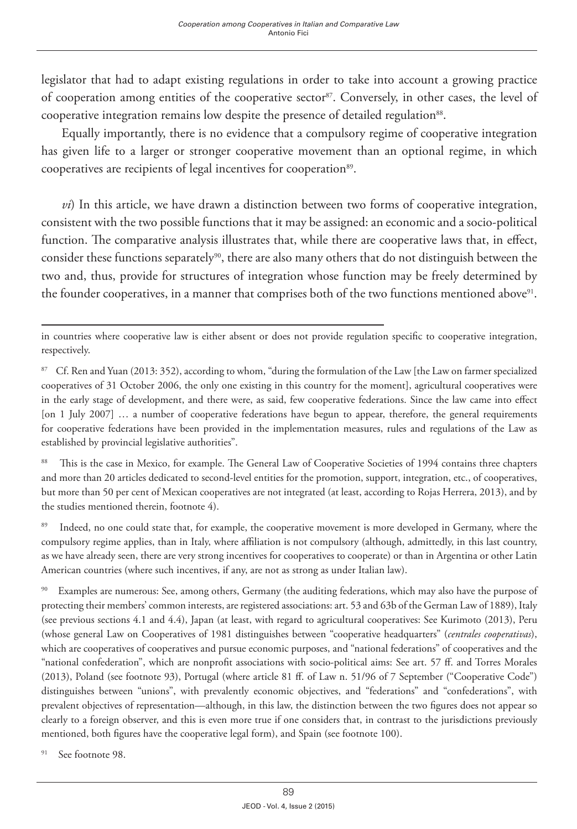legislator that had to adapt existing regulations in order to take into account a growing practice of cooperation among entities of the cooperative sector<sup>87</sup>. Conversely, in other cases, the level of cooperative integration remains low despite the presence of detailed regulation<sup>88</sup>.

Equally importantly, there is no evidence that a compulsory regime of cooperative integration has given life to a larger or stronger cooperative movement than an optional regime, in which cooperatives are recipients of legal incentives for cooperation<sup>89</sup>.

*vi*) In this article, we have drawn a distinction between two forms of cooperative integration, consistent with the two possible functions that it may be assigned: an economic and a socio-political function. The comparative analysis illustrates that, while there are cooperative laws that, in effect, consider these functions separately<sup>90</sup>, there are also many others that do not distinguish between the two and, thus, provide for structures of integration whose function may be freely determined by the founder cooperatives, in a manner that comprises both of the two functions mentioned above<sup>91</sup>.

<sup>88</sup> This is the case in Mexico, for example. The General Law of Cooperative Societies of 1994 contains three chapters and more than 20 articles dedicated to second-level entities for the promotion, support, integration, etc., of cooperatives, but more than 50 per cent of Mexican cooperatives are not integrated (at least, according to Rojas Herrera, 2013), and by the studies mentioned therein, footnote 4).

<sup>89</sup> Indeed, no one could state that, for example, the cooperative movement is more developed in Germany, where the compulsory regime applies, than in Italy, where affiliation is not compulsory (although, admittedly, in this last country, as we have already seen, there are very strong incentives for cooperatives to cooperate) or than in Argentina or other Latin American countries (where such incentives, if any, are not as strong as under Italian law).

<sup>90</sup> Examples are numerous: See, among others, Germany (the auditing federations, which may also have the purpose of protecting their members' common interests, are registered associations: art. 53 and 63b of the German Law of 1889), Italy (see previous sections 4.1 and 4.4), Japan (at least, with regard to agricultural cooperatives: See Kurimoto (2013), Peru (whose general Law on Cooperatives of 1981 distinguishes between "cooperative headquarters" (*centrales cooperativas*), which are cooperatives of cooperatives and pursue economic purposes, and "national federations" of cooperatives and the "national confederation", which are nonprofit associations with socio-political aims: See art. 57 ff. and Torres Morales (2013), Poland (see footnote 93), Portugal (where article 81 ff. of Law n. 51/96 of 7 September ("Cooperative Code") distinguishes between "unions", with prevalently economic objectives, and "federations" and "confederations", with prevalent objectives of representation—although, in this law, the distinction between the two figures does not appear so clearly to a foreign observer, and this is even more true if one considers that, in contrast to the jurisdictions previously mentioned, both figures have the cooperative legal form), and Spain (see footnote 100).

91 See footnote 98.

in countries where cooperative law is either absent or does not provide regulation specific to cooperative integration, respectively.

<sup>&</sup>lt;sup>87</sup> Cf. Ren and Yuan (2013: 352), according to whom, "during the formulation of the Law [the Law on farmer specialized cooperatives of 31 October 2006, the only one existing in this country for the moment], agricultural cooperatives were in the early stage of development, and there were, as said, few cooperative federations. Since the law came into effect [on 1 July 2007] ... a number of cooperative federations have begun to appear, therefore, the general requirements for cooperative federations have been provided in the implementation measures, rules and regulations of the Law as established by provincial legislative authorities".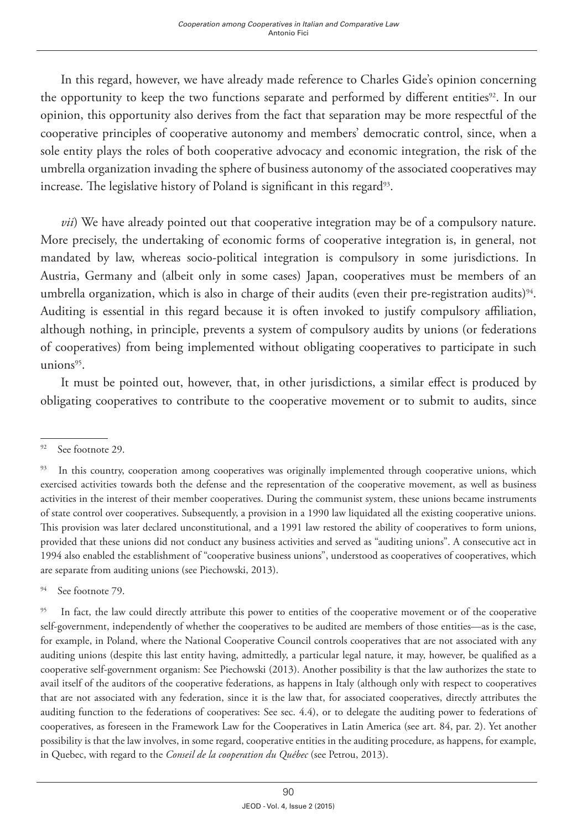In this regard, however, we have already made reference to Charles Gide's opinion concerning the opportunity to keep the two functions separate and performed by different entities<sup>92</sup>. In our opinion, this opportunity also derives from the fact that separation may be more respectful of the cooperative principles of cooperative autonomy and members' democratic control, since, when a sole entity plays the roles of both cooperative advocacy and economic integration, the risk of the umbrella organization invading the sphere of business autonomy of the associated cooperatives may increase. The legislative history of Poland is significant in this regard<sup>93</sup>.

*vii*) We have already pointed out that cooperative integration may be of a compulsory nature. More precisely, the undertaking of economic forms of cooperative integration is, in general, not mandated by law, whereas socio-political integration is compulsory in some jurisdictions. In Austria, Germany and (albeit only in some cases) Japan, cooperatives must be members of an umbrella organization, which is also in charge of their audits (even their pre-registration audits)<sup>94</sup>. Auditing is essential in this regard because it is often invoked to justify compulsory affiliation, although nothing, in principle, prevents a system of compulsory audits by unions (or federations of cooperatives) from being implemented without obligating cooperatives to participate in such unions $95$ .

It must be pointed out, however, that, in other jurisdictions, a similar effect is produced by obligating cooperatives to contribute to the cooperative movement or to submit to audits, since

94 See footnote 79.

<sup>92</sup> See footnote 29.

<sup>&</sup>lt;sup>93</sup> In this country, cooperation among cooperatives was originally implemented through cooperative unions, which exercised activities towards both the defense and the representation of the cooperative movement, as well as business activities in the interest of their member cooperatives. During the communist system, these unions became instruments of state control over cooperatives. Subsequently, a provision in a 1990 law liquidated all the existing cooperative unions. This provision was later declared unconstitutional, and a 1991 law restored the ability of cooperatives to form unions, provided that these unions did not conduct any business activities and served as "auditing unions". A consecutive act in 1994 also enabled the establishment of "cooperative business unions", understood as cooperatives of cooperatives, which are separate from auditing unions (see Piechowski, 2013).

<sup>&</sup>lt;sup>95</sup> In fact, the law could directly attribute this power to entities of the cooperative movement or of the cooperative self-government, independently of whether the cooperatives to be audited are members of those entities—as is the case, for example, in Poland, where the National Cooperative Council controls cooperatives that are not associated with any auditing unions (despite this last entity having, admittedly, a particular legal nature, it may, however, be qualified as a cooperative self-government organism: See Piechowski (2013). Another possibility is that the law authorizes the state to avail itself of the auditors of the cooperative federations, as happens in Italy (although only with respect to cooperatives that are not associated with any federation, since it is the law that, for associated cooperatives, directly attributes the auditing function to the federations of cooperatives: See sec. 4.4), or to delegate the auditing power to federations of cooperatives, as foreseen in the Framework Law for the Cooperatives in Latin America (see art. 84, par. 2). Yet another possibility is that the law involves, in some regard, cooperative entities in the auditing procedure, as happens, for example, in Quebec, with regard to the *Conseil de la cooperation du Québec* (see Petrou, 2013).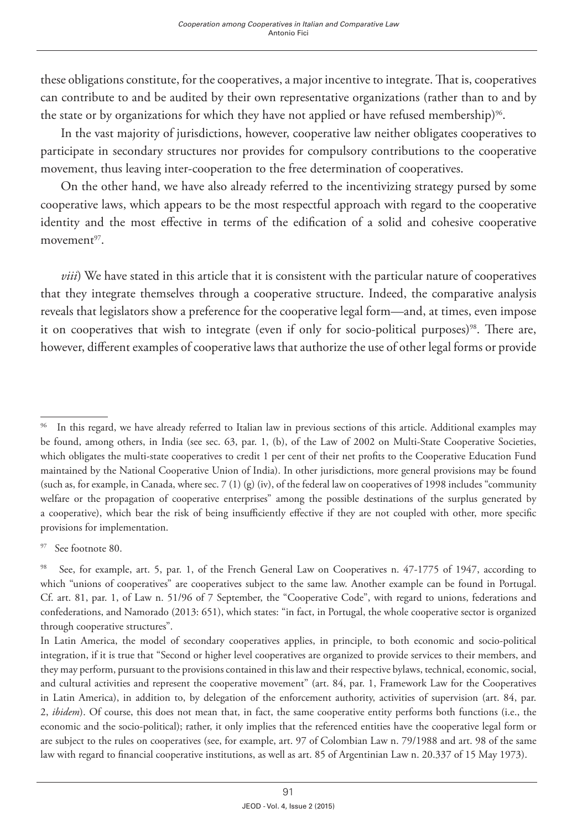these obligations constitute, for the cooperatives, a major incentive to integrate. That is, cooperatives can contribute to and be audited by their own representative organizations (rather than to and by the state or by organizations for which they have not applied or have refused membership)<sup>96</sup>.

In the vast majority of jurisdictions, however, cooperative law neither obligates cooperatives to participate in secondary structures nor provides for compulsory contributions to the cooperative movement, thus leaving inter-cooperation to the free determination of cooperatives.

On the other hand, we have also already referred to the incentivizing strategy pursed by some cooperative laws, which appears to be the most respectful approach with regard to the cooperative identity and the most effective in terms of the edification of a solid and cohesive cooperative movement<sup>97</sup>.

*viii*) We have stated in this article that it is consistent with the particular nature of cooperatives that they integrate themselves through a cooperative structure. Indeed, the comparative analysis reveals that legislators show a preference for the cooperative legal form—and, at times, even impose it on cooperatives that wish to integrate (even if only for socio-political purposes)<sup>98</sup>. There are, however, different examples of cooperative laws that authorize the use of other legal forms or provide

See footnote 80.

<sup>&</sup>lt;sup>96</sup> In this regard, we have already referred to Italian law in previous sections of this article. Additional examples may be found, among others, in India (see sec. 63, par. 1, (b), of the Law of 2002 on Multi-State Cooperative Societies, which obligates the multi-state cooperatives to credit 1 per cent of their net profits to the Cooperative Education Fund maintained by the National Cooperative Union of India). In other jurisdictions, more general provisions may be found (such as, for example, in Canada, where sec. 7 (1) (g) (iv), of the federal law on cooperatives of 1998 includes "community welfare or the propagation of cooperative enterprises" among the possible destinations of the surplus generated by a cooperative), which bear the risk of being insufficiently effective if they are not coupled with other, more specific provisions for implementation.

<sup>&</sup>lt;sup>98</sup> See, for example, art. 5, par. 1, of the French General Law on Cooperatives n. 47-1775 of 1947, according to which "unions of cooperatives" are cooperatives subject to the same law. Another example can be found in Portugal. Cf. art. 81, par. 1, of Law n. 51/96 of 7 September, the "Cooperative Code", with regard to unions, federations and confederations, and Namorado (2013: 651), which states: "in fact, in Portugal, the whole cooperative sector is organized through cooperative structures".

In Latin America, the model of secondary cooperatives applies, in principle, to both economic and socio-political integration, if it is true that "Second or higher level cooperatives are organized to provide services to their members, and they may perform, pursuant to the provisions contained in this law and their respective bylaws, technical, economic, social, and cultural activities and represent the cooperative movement" (art. 84, par. 1, Framework Law for the Cooperatives in Latin America), in addition to, by delegation of the enforcement authority, activities of supervision (art. 84, par. 2, *ibidem*). Of course, this does not mean that, in fact, the same cooperative entity performs both functions (i.e., the economic and the socio-political); rather, it only implies that the referenced entities have the cooperative legal form or are subject to the rules on cooperatives (see, for example, art. 97 of Colombian Law n. 79/1988 and art. 98 of the same law with regard to financial cooperative institutions, as well as art. 85 of Argentinian Law n. 20.337 of 15 May 1973).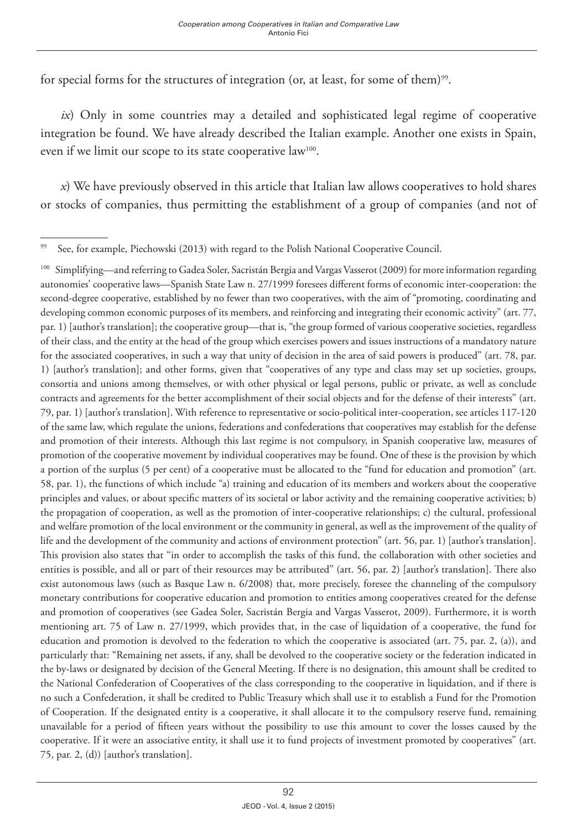for special forms for the structures of integration (or, at least, for some of them)<sup>99</sup>.

*ix*) Only in some countries may a detailed and sophisticated legal regime of cooperative integration be found. We have already described the Italian example. Another one exists in Spain, even if we limit our scope to its state cooperative law<sup>100</sup>.

*x*) We have previously observed in this article that Italian law allows cooperatives to hold shares or stocks of companies, thus permitting the establishment of a group of companies (and not of

99 See, for example, Piechowski (2013) with regard to the Polish National Cooperative Council.

100 Simplifying—and referring to Gadea Soler, Sacristán Bergia and Vargas Vasserot (2009) for more information regarding autonomies' cooperative laws—Spanish State Law n. 27/1999 foresees different forms of economic inter-cooperation: the second-degree cooperative, established by no fewer than two cooperatives, with the aim of "promoting, coordinating and developing common economic purposes of its members, and reinforcing and integrating their economic activity" (art. 77, par. 1) [author's translation]; the cooperative group—that is, "the group formed of various cooperative societies, regardless of their class, and the entity at the head of the group which exercises powers and issues instructions of a mandatory nature for the associated cooperatives, in such a way that unity of decision in the area of said powers is produced" (art. 78, par. 1) [author's translation]; and other forms, given that "cooperatives of any type and class may set up societies, groups, consortia and unions among themselves, or with other physical or legal persons, public or private, as well as conclude contracts and agreements for the better accomplishment of their social objects and for the defense of their interests" (art. 79, par. 1) [author's translation]. With reference to representative or socio-political inter-cooperation, see articles 117-120 of the same law, which regulate the unions, federations and confederations that cooperatives may establish for the defense and promotion of their interests. Although this last regime is not compulsory, in Spanish cooperative law, measures of promotion of the cooperative movement by individual cooperatives may be found. One of these is the provision by which a portion of the surplus (5 per cent) of a cooperative must be allocated to the "fund for education and promotion" (art. 58, par. 1), the functions of which include "a) training and education of its members and workers about the cooperative principles and values, or about specific matters of its societal or labor activity and the remaining cooperative activities; b) the propagation of cooperation, as well as the promotion of inter-cooperative relationships; c) the cultural, professional and welfare promotion of the local environment or the community in general, as well as the improvement of the quality of life and the development of the community and actions of environment protection" (art. 56, par. 1) [author's translation]. This provision also states that "in order to accomplish the tasks of this fund, the collaboration with other societies and entities is possible, and all or part of their resources may be attributed" (art. 56, par. 2) [author's translation]. There also exist autonomous laws (such as Basque Law n. 6/2008) that, more precisely, foresee the channeling of the compulsory monetary contributions for cooperative education and promotion to entities among cooperatives created for the defense and promotion of cooperatives (see Gadea Soler, Sacristán Bergia and Vargas Vasserot, 2009). Furthermore, it is worth mentioning art. 75 of Law n. 27/1999, which provides that, in the case of liquidation of a cooperative, the fund for education and promotion is devolved to the federation to which the cooperative is associated (art. 75, par. 2, (a)), and particularly that: "Remaining net assets, if any, shall be devolved to the cooperative society or the federation indicated in the by-laws or designated by decision of the General Meeting. If there is no designation, this amount shall be credited to the National Confederation of Cooperatives of the class corresponding to the cooperative in liquidation, and if there is no such a Confederation, it shall be credited to Public Treasury which shall use it to establish a Fund for the Promotion of Cooperation. If the designated entity is a cooperative, it shall allocate it to the compulsory reserve fund, remaining unavailable for a period of fifteen years without the possibility to use this amount to cover the losses caused by the cooperative. If it were an associative entity, it shall use it to fund projects of investment promoted by cooperatives" (art. 75, par. 2, (d)) [author's translation].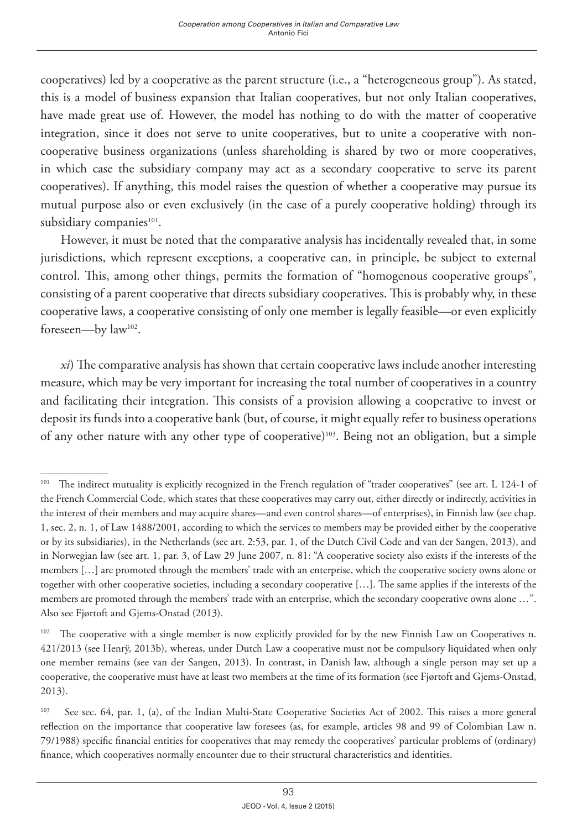cooperatives) led by a cooperative as the parent structure (i.e., a "heterogeneous group"). As stated, this is a model of business expansion that Italian cooperatives, but not only Italian cooperatives, have made great use of. However, the model has nothing to do with the matter of cooperative integration, since it does not serve to unite cooperatives, but to unite a cooperative with noncooperative business organizations (unless shareholding is shared by two or more cooperatives, in which case the subsidiary company may act as a secondary cooperative to serve its parent cooperatives). If anything, this model raises the question of whether a cooperative may pursue its mutual purpose also or even exclusively (in the case of a purely cooperative holding) through its subsidiary companies<sup>101</sup>.

However, it must be noted that the comparative analysis has incidentally revealed that, in some jurisdictions, which represent exceptions, a cooperative can, in principle, be subject to external control. This, among other things, permits the formation of "homogenous cooperative groups", consisting of a parent cooperative that directs subsidiary cooperatives. This is probably why, in these cooperative laws, a cooperative consisting of only one member is legally feasible—or even explicitly foreseen—by law102.

*xi*) The comparative analysis has shown that certain cooperative laws include another interesting measure, which may be very important for increasing the total number of cooperatives in a country and facilitating their integration. This consists of a provision allowing a cooperative to invest or deposit its funds into a cooperative bank (but, of course, it might equally refer to business operations of any other nature with any other type of cooperative)<sup>103</sup>. Being not an obligation, but a simple

<sup>&</sup>lt;sup>101</sup> The indirect mutuality is explicitly recognized in the French regulation of "trader cooperatives" (see art. L 124-1 of the French Commercial Code, which states that these cooperatives may carry out, either directly or indirectly, activities in the interest of their members and may acquire shares—and even control shares—of enterprises), in Finnish law (see chap. 1, sec. 2, n. 1, of Law 1488/2001, according to which the services to members may be provided either by the cooperative or by its subsidiaries), in the Netherlands (see art. 2:53, par. 1, of the Dutch Civil Code and van der Sangen, 2013), and in Norwegian law (see art. 1, par. 3, of Law 29 June 2007, n. 81: "A cooperative society also exists if the interests of the members […] are promoted through the members' trade with an enterprise, which the cooperative society owns alone or together with other cooperative societies, including a secondary cooperative […]. The same applies if the interests of the members are promoted through the members' trade with an enterprise, which the secondary cooperative owns alone …". Also see Fjørtoft and Gjems-Onstad (2013).

<sup>&</sup>lt;sup>102</sup> The cooperative with a single member is now explicitly provided for by the new Finnish Law on Cooperatives n. 421/2013 (see Henrÿ, 2013b), whereas, under Dutch Law a cooperative must not be compulsory liquidated when only one member remains (see van der Sangen, 2013). In contrast, in Danish law, although a single person may set up a cooperative, the cooperative must have at least two members at the time of its formation (see Fjørtoft and Gjems-Onstad, 2013).

<sup>&</sup>lt;sup>103</sup> See sec. 64, par. 1, (a), of the Indian Multi-State Cooperative Societies Act of 2002. This raises a more general reflection on the importance that cooperative law foresees (as, for example, articles 98 and 99 of Colombian Law n. 79/1988) specific financial entities for cooperatives that may remedy the cooperatives' particular problems of (ordinary) finance, which cooperatives normally encounter due to their structural characteristics and identities.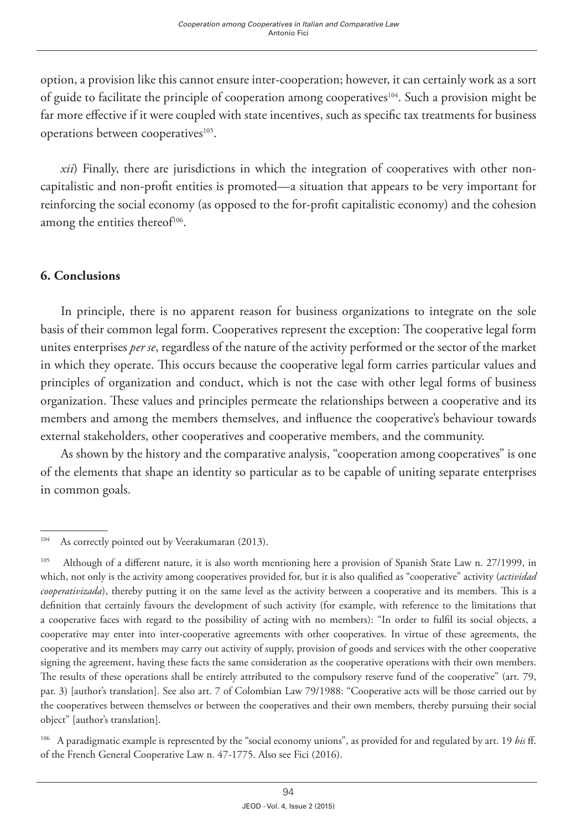option, a provision like this cannot ensure inter-cooperation; however, it can certainly work as a sort of guide to facilitate the principle of cooperation among cooperatives<sup>104</sup>. Such a provision might be far more effective if it were coupled with state incentives, such as specific tax treatments for business operations between cooperatives<sup>105</sup>.

*xii*) Finally, there are jurisdictions in which the integration of cooperatives with other noncapitalistic and non-profit entities is promoted—a situation that appears to be very important for reinforcing the social economy (as opposed to the for-profit capitalistic economy) and the cohesion among the entities thereof<sup>106</sup>.

## **6. Conclusions**

In principle, there is no apparent reason for business organizations to integrate on the sole basis of their common legal form. Cooperatives represent the exception: The cooperative legal form unites enterprises *per se*, regardless of the nature of the activity performed or the sector of the market in which they operate. This occurs because the cooperative legal form carries particular values and principles of organization and conduct, which is not the case with other legal forms of business organization. These values and principles permeate the relationships between a cooperative and its members and among the members themselves, and influence the cooperative's behaviour towards external stakeholders, other cooperatives and cooperative members, and the community.

As shown by the history and the comparative analysis, "cooperation among cooperatives" is one of the elements that shape an identity so particular as to be capable of uniting separate enterprises in common goals.

<sup>&</sup>lt;sup>104</sup> As correctly pointed out by Veerakumaran (2013).

<sup>&</sup>lt;sup>105</sup> Although of a different nature, it is also worth mentioning here a provision of Spanish State Law n. 27/1999, in which, not only is the activity among cooperatives provided for, but it is also qualified as "cooperative" activity (*actividad cooperativizada*), thereby putting it on the same level as the activity between a cooperative and its members. This is a definition that certainly favours the development of such activity (for example, with reference to the limitations that a cooperative faces with regard to the possibility of acting with no members): "In order to fulfil its social objects, a cooperative may enter into inter-cooperative agreements with other cooperatives. In virtue of these agreements, the cooperative and its members may carry out activity of supply, provision of goods and services with the other cooperative signing the agreement, having these facts the same consideration as the cooperative operations with their own members. The results of these operations shall be entirely attributed to the compulsory reserve fund of the cooperative" (art. 79, par. 3) [author's translation]. See also art. 7 of Colombian Law 79/1988: "Cooperative acts will be those carried out by the cooperatives between themselves or between the cooperatives and their own members, thereby pursuing their social object" [author's translation].

<sup>106</sup> A paradigmatic example is represented by the "social economy unions", as provided for and regulated by art. 19 *bis* ff. of the French General Cooperative Law n. 47-1775. Also see Fici (2016).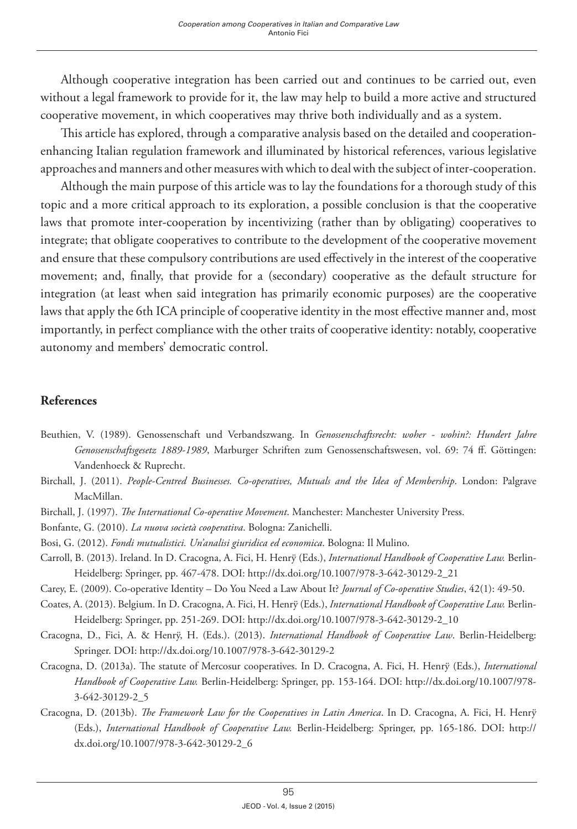Although cooperative integration has been carried out and continues to be carried out, even without a legal framework to provide for it, the law may help to build a more active and structured cooperative movement, in which cooperatives may thrive both individually and as a system.

This article has explored, through a comparative analysis based on the detailed and cooperationenhancing Italian regulation framework and illuminated by historical references, various legislative approaches and manners and other measures with which to deal with the subject of inter-cooperation.

Although the main purpose of this article was to lay the foundations for a thorough study of this topic and a more critical approach to its exploration, a possible conclusion is that the cooperative laws that promote inter-cooperation by incentivizing (rather than by obligating) cooperatives to integrate; that obligate cooperatives to contribute to the development of the cooperative movement and ensure that these compulsory contributions are used effectively in the interest of the cooperative movement; and, finally, that provide for a (secondary) cooperative as the default structure for integration (at least when said integration has primarily economic purposes) are the cooperative laws that apply the 6th ICA principle of cooperative identity in the most effective manner and, most importantly, in perfect compliance with the other traits of cooperative identity: notably, cooperative autonomy and members' democratic control.

#### **References**

- Beuthien, V. (1989). Genossenschaft und Verbandszwang. In *Genossenschaftsrecht: woher wohin?: Hundert Jahre Genossenschaftsgesetz 1889-1989*, Marburger Schriften zum Genossenschaftswesen, vol. 69: 74 ff. Göttingen: Vandenhoeck & Ruprecht.
- Birchall, J. (2011). *People-Centred Businesses. Co-operatives, Mutuals and the Idea of Membership*. London: Palgrave MacMillan.
- Birchall, J. (1997). *The International Co-operative Movement*. Manchester: Manchester University Press.
- Bonfante, G. (2010). *La nuova società cooperativa*. Bologna: Zanichelli.
- Bosi, G. (2012). *Fondi mutualistici. Un'analisi giuridica ed economica*. Bologna: Il Mulino.
- Carroll, B. (2013). Ireland. In D. Cracogna, A. Fici, H. Henrÿ (Eds.), *International Handbook of Cooperative Law.* Berlin-Heidelberg: Springer, pp. 467-478. DOI: [http://dx.doi.org/10.1007/978-3-642-30129-2\\_21](http://dx.doi.org/10.1007/978-3-642-30129-2_21)
- Carey, E. (2009). Co-operative Identity Do You Need a Law About It? *Journal of Co-operative Studies*, 42(1): 49-50.
- Coates, A. (2013). Belgium. In D. Cracogna, A. Fici, H. Henrÿ (Eds.), *International Handbook of Cooperative Law.* Berlin-Heidelberg: Springer, pp. 251-269. DOI: [http://dx.doi.org/10.1007/978-3-642-30129-2\\_10](http://dx.doi.org/10.1007/978-3-642-30129-2_10)
- Cracogna, D., Fici, A. & Henrÿ, H. (Eds.). (2013). *International Handbook of Cooperative Law*. Berlin-Heidelberg: Springer. DOI:<http://dx.doi.org/10.1007/978-3-642-30129-2>
- Cracogna, D. (2013a). The statute of Mercosur cooperatives. In D. Cracogna, A. Fici, H. Henrÿ (Eds.), *International Handbook of Cooperative Law.* Berlin-Heidelberg: Springer, pp. 153-164. DOI: [http://dx.doi.org/10.1007/978-](http://dx.doi.org/10.1007/978-3-642-30129-2_5) [3-642-30129-2\\_5](http://dx.doi.org/10.1007/978-3-642-30129-2_5)
- Cracogna, D. (2013b). *The Framework Law for the Cooperatives in Latin America*. In D. Cracogna, A. Fici, H. Henrÿ (Eds.), *International Handbook of Cooperative Law.* Berlin-Heidelberg: Springer, pp. 165-186. DOI: [http://](http://dx.doi.org/10.1007/978-3-642-30129-2_6) [dx.doi.org/10.1007/978-3-642-30129-2\\_6](http://dx.doi.org/10.1007/978-3-642-30129-2_6)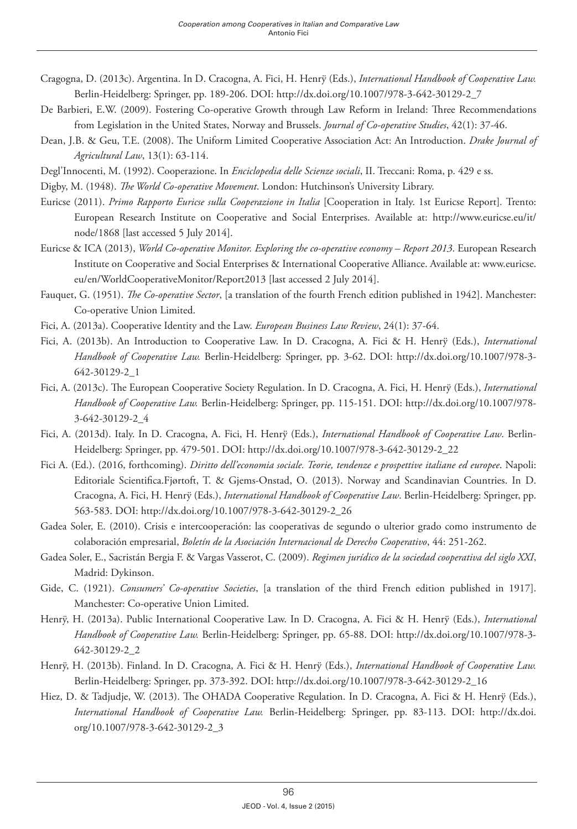- Cragogna, D. (2013c). Argentina. In D. Cracogna, A. Fici, H. Henrÿ (Eds.), *International Handbook of Cooperative Law.* Berlin-Heidelberg: Springer, pp. 189-206. DOI: [http://dx.doi.org/10.1007/978-3-642-30129-2\\_7](http://dx.doi.org/10.1007/978-3-642-30129-2_7)
- De Barbieri, E.W. (2009). Fostering Co-operative Growth through Law Reform in Ireland: Three Recommendations from Legislation in the United States, Norway and Brussels. *Journal of Co-operative Studies*, 42(1): 37-46.
- Dean, J.B. & Geu, T.E. (2008). The Uniform Limited Cooperative Association Act: An Introduction. *Drake Journal of Agricultural Law*, 13(1): 63-114.
- Degl'Innocenti, M. (1992). Cooperazione. In *Enciclopedia delle Scienze sociali*, II. Treccani: Roma, p. 429 e ss.
- Digby, M. (1948). *The World Co-operative Movement*. London: Hutchinson's University Library.
- Euricse (2011). *Primo Rapporto Euricse sulla Cooperazione in Italia* [Cooperation in Italy. 1st Euricse Report]*.* Trento: European Research Institute on Cooperative and Social Enterprises. Available at: http://www.euricse.eu/it/ node/1868 [last accessed 5 July 2014].
- Euricse & ICA (2013), *World Co-operative Monitor. Exploring the co-operative economy Report 2013*. European Research Institute on Cooperative and Social Enterprises & International Cooperative Alliance. Available at: [www.euricse.](http://www.euricse.eu/en/WorldCooperativeMonitor/Report2013) [eu/en/WorldCooperativeMonitor/Report2013](http://www.euricse.eu/en/WorldCooperativeMonitor/Report2013) [last accessed 2 July 2014].
- Fauquet, G. (1951). *The Co-operative Sector*, [a translation of the fourth French edition published in 1942]. Manchester: Co-operative Union Limited.
- Fici, A. (2013a). Cooperative Identity and the Law. *European Business Law Review*, 24(1): 37-64.
- Fici, A. (2013b). An Introduction to Cooperative Law. In D. Cracogna, A. Fici & H. Henrÿ (Eds.), *International Handbook of Cooperative Law.* Berlin-Heidelberg: Springer, pp. 3-62. DOI: [http://dx.doi.org/10.1007/978-3-](http://dx.doi.org/10.1007/978-3-642-30129-2_1) [642-30129-2\\_1](http://dx.doi.org/10.1007/978-3-642-30129-2_1)
- Fici, A. (2013c). The European Cooperative Society Regulation. In D. Cracogna, A. Fici, H. Henrÿ (Eds.), *International Handbook of Cooperative Law.* Berlin-Heidelberg: Springer, pp. 115-151. DOI: [http://dx.doi.org/10.1007/978-](http://dx.doi.org/10.1007/978-3-642-30129-2_4) [3-642-30129-2\\_4](http://dx.doi.org/10.1007/978-3-642-30129-2_4)
- Fici, A. (2013d). Italy. In D. Cracogna, A. Fici, H. Henrÿ (Eds.), *International Handbook of Cooperative Law*. Berlin-Heidelberg: Springer, pp. 479-501. DOI: [http://dx.doi.org/10.1007/978-3-642-30129-2\\_22](http://dx.doi.org/10.1007/978-3-642-30129-2_22)
- Fici A. (Ed.). (2016, forthcoming). *Diritto dell'economia sociale. Teorie, tendenze e prospettive italiane ed europee*. Napoli: Editoriale Scientifica.Fjørtoft, T. & Gjems-Onstad, O. (2013). Norway and Scandinavian Countries. In D. Cracogna, A. Fici, H. Henrÿ (Eds.), *International Handbook of Cooperative Law*. Berlin-Heidelberg: Springer, pp. 563-583. DOI: [http://dx.doi.org/10.1007/978-3-642-30129-2\\_26](http://dx.doi.org/10.1007/978-3-642-30129-2_26)
- Gadea Soler, E. (2010). Crisis e intercooperación: las cooperativas de segundo o ulterior grado como instrumento de colaboración empresarial, *Boletín de la Asociación Internacional de Derecho Cooperativo*, 44: 251-262.
- Gadea Soler, E., Sacristán Bergia F. & Vargas Vasserot, C. (2009). *Regimen jurídico de la sociedad cooperativa del siglo XXI*, Madrid: Dykinson.
- Gide, C. (1921). *Consumers' Co-operative Societies*, [a translation of the third French edition published in 1917]. Manchester: Co-operative Union Limited.
- Henrÿ, H. (2013a). Public International Cooperative Law. In D. Cracogna, A. Fici & H. Henrÿ (Eds.), *International Handbook of Cooperative Law.* Berlin-Heidelberg: Springer, pp. 65-88. DOI: [http://dx.doi.org/10.1007/978-3-](http://dx.doi.org/10.1007/978-3-642-30129-2_2) [642-30129-2\\_2](http://dx.doi.org/10.1007/978-3-642-30129-2_2)
- Henrÿ, H. (2013b). Finland. In D. Cracogna, A. Fici & H. Henrÿ (Eds.), *International Handbook of Cooperative Law.* Berlin-Heidelberg: Springer, pp. 373-392. DOI: [http://dx.doi.org/10.1007/978-3-642-30129-2\\_16](http://dx.doi.org/10.1007/978-3-642-30129-2_16)
- Hiez, D. & Tadjudje, W. (2013). The OHADA Cooperative Regulation. In D. Cracogna, A. Fici & H. Henrÿ (Eds.), *International Handbook of Cooperative Law.* Berlin-Heidelberg: Springer, pp. 83-113. DOI: [http://dx.doi.](http://dx.doi.org/10.1007/978-3-642-30129-2_3) [org/10.1007/978-3-642-30129-2\\_3](http://dx.doi.org/10.1007/978-3-642-30129-2_3)